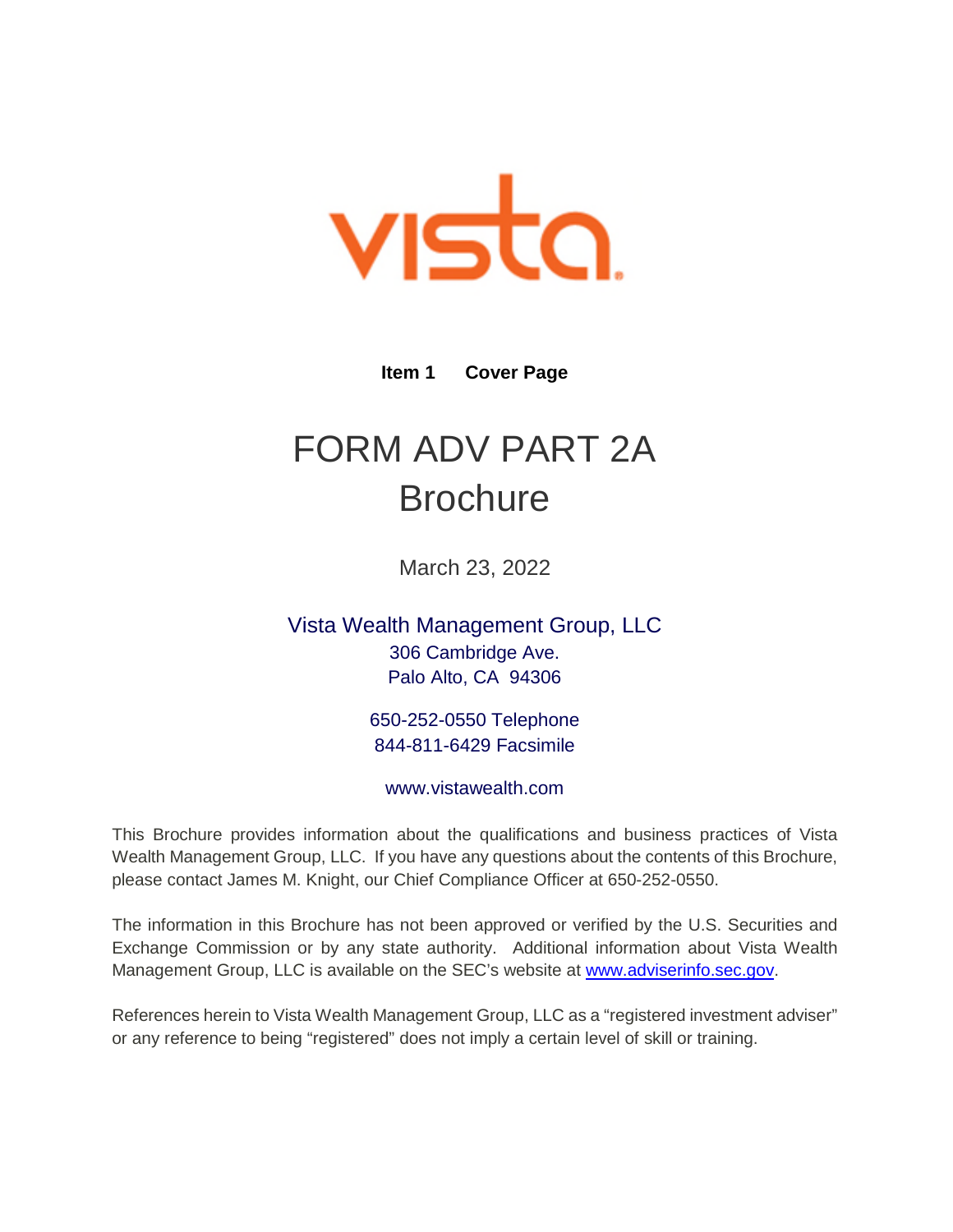

**Item 1 Cover Page** 

# <span id="page-0-0"></span>FORM ADV PART 2A **Brochure**

March 23, 2022

Vista Wealth Management Group, LLC 306 Cambridge Ave. Palo Alto, CA 94306

> 650-252-0550 Telephone 844-811-6429 Facsimile

www.vistawealth.com

This Brochure provides information about the qualifications and business practices of Vista Wealth Management Group, LLC. If you have any questions about the contents of this Brochure, please contact James M. Knight, our Chief Compliance Officer at 650-252-0550.

The information in this Brochure has not been approved or verified by the U.S. Securities and Exchange Commission or by any state authority. Additional information about Vista Wealth Management Group, LLC is available on the SEC's website at [www.adviserinfo.sec.gov.](http://www.adviserinfo.sec.gov/)

References herein to Vista Wealth Management Group, LLC as a "registered investment adviser" or any reference to being "registered" does not imply a certain level of skill or training.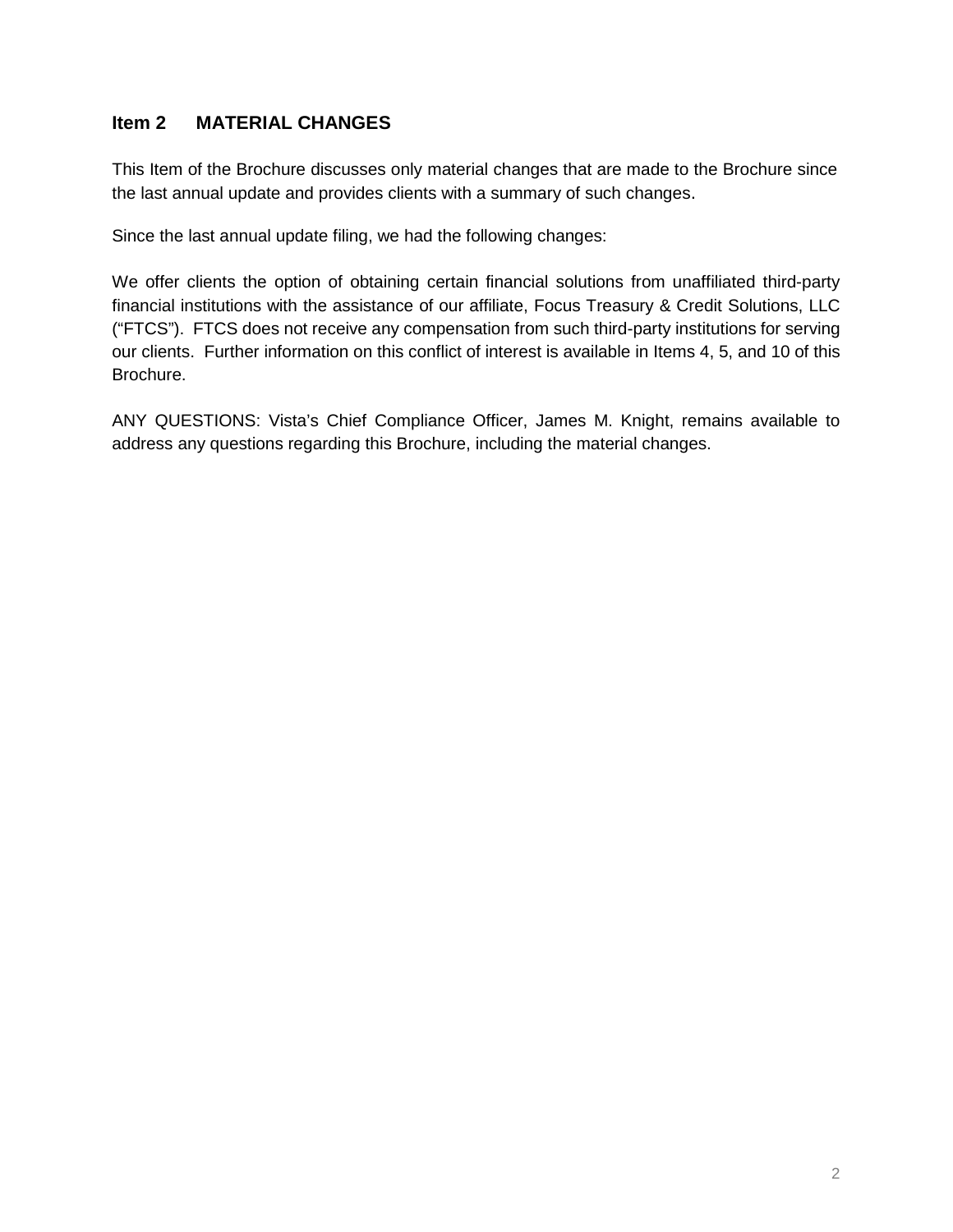# <span id="page-1-0"></span>**Item 2 MATERIAL CHANGES**

This Item of the Brochure discusses only material changes that are made to the Brochure since the last annual update and provides clients with a summary of such changes.

Since the last annual update filing, we had the following changes:

We offer clients the option of obtaining certain financial solutions from unaffiliated third-party financial institutions with the assistance of our affiliate, Focus Treasury & Credit Solutions, LLC ("FTCS"). FTCS does not receive any compensation from such third-party institutions for serving our clients. Further information on this conflict of interest is available in Items 4, 5, and 10 of this Brochure.

ANY QUESTIONS: Vista's Chief Compliance Officer, James M. Knight, remains available to address any questions regarding this Brochure, including the material changes.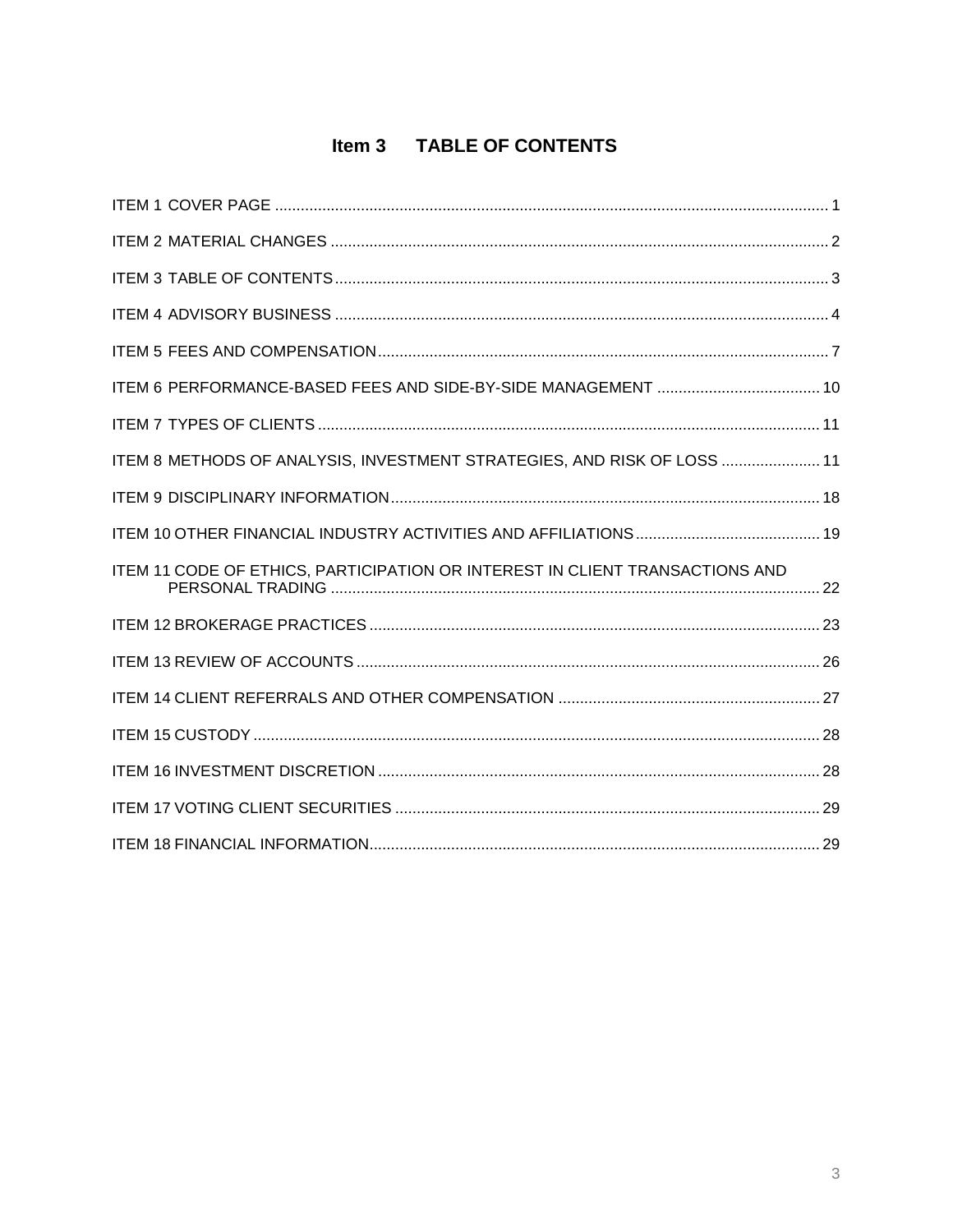# Item 3 TABLE OF CONTENTS

<span id="page-2-0"></span>

| ITEM 8 METHODS OF ANALYSIS, INVESTMENT STRATEGIES, AND RISK OF LOSS  11      |  |
|------------------------------------------------------------------------------|--|
|                                                                              |  |
|                                                                              |  |
| ITEM 11 CODE OF ETHICS, PARTICIPATION OR INTEREST IN CLIENT TRANSACTIONS AND |  |
|                                                                              |  |
|                                                                              |  |
|                                                                              |  |
|                                                                              |  |
|                                                                              |  |
|                                                                              |  |
|                                                                              |  |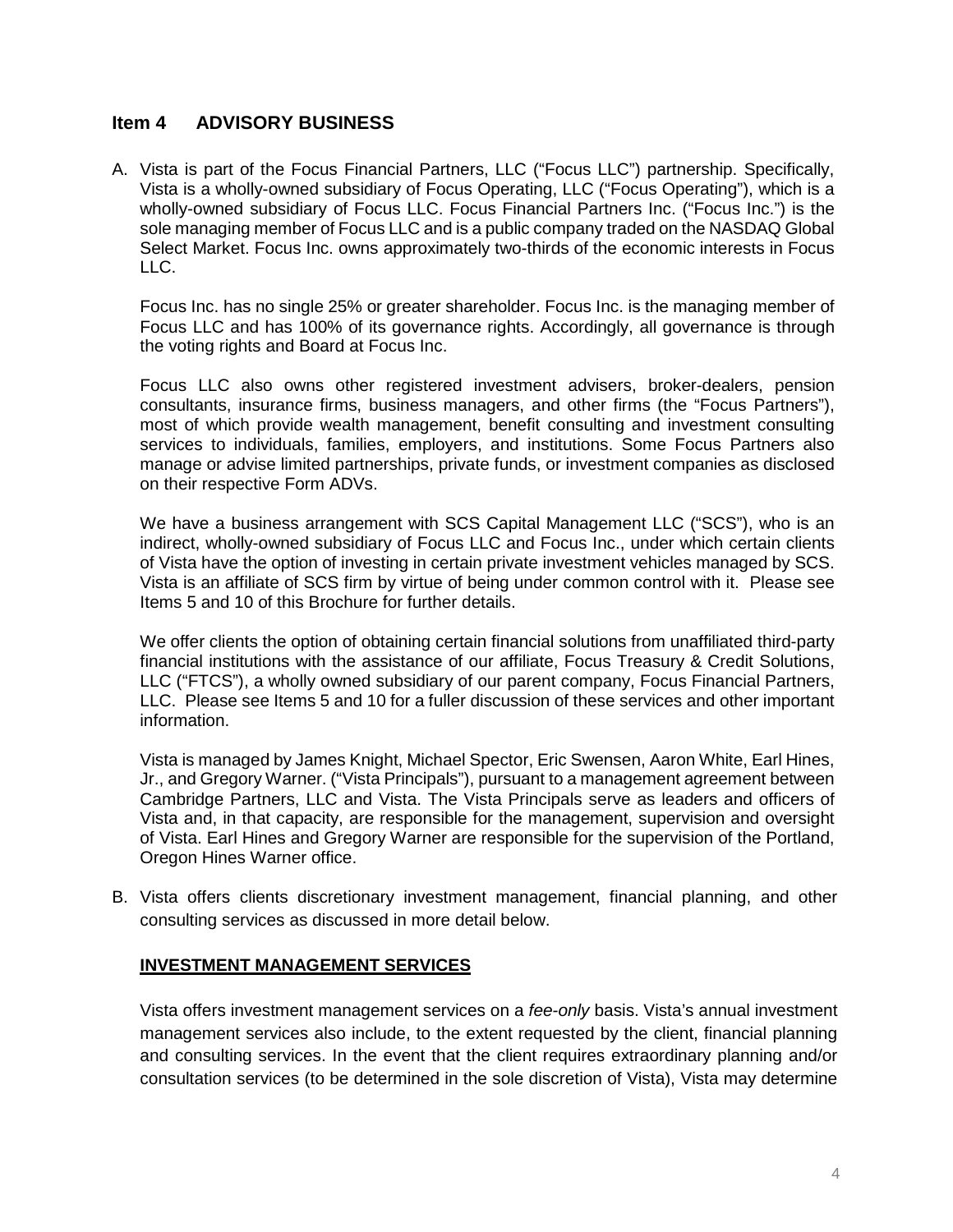#### <span id="page-3-0"></span>**Item 4 ADVISORY BUSINESS**

A. Vista is part of the Focus Financial Partners, LLC ("Focus LLC") partnership. Specifically, Vista is a wholly-owned subsidiary of Focus Operating, LLC ("Focus Operating"), which is a wholly-owned subsidiary of Focus LLC. Focus Financial Partners Inc. ("Focus Inc.") is the sole managing member of Focus LLC and is a public company traded on the NASDAQ Global Select Market. Focus Inc. owns approximately two-thirds of the economic interests in Focus LLC.

Focus Inc. has no single 25% or greater shareholder. Focus Inc. is the managing member of Focus LLC and has 100% of its governance rights. Accordingly, all governance is through the voting rights and Board at Focus Inc.

Focus LLC also owns other registered investment advisers, broker-dealers, pension consultants, insurance firms, business managers, and other firms (the "Focus Partners"), most of which provide wealth management, benefit consulting and investment consulting services to individuals, families, employers, and institutions. Some Focus Partners also manage or advise limited partnerships, private funds, or investment companies as disclosed on their respective Form ADVs.

We have a business arrangement with SCS Capital Management LLC ("SCS"), who is an indirect, wholly-owned subsidiary of Focus LLC and Focus Inc., under which certain clients of Vista have the option of investing in certain private investment vehicles managed by SCS. Vista is an affiliate of SCS firm by virtue of being under common control with it. Please see Items 5 and 10 of this Brochure for further details.

We offer clients the option of obtaining certain financial solutions from unaffiliated third-party financial institutions with the assistance of our affiliate, Focus Treasury & Credit Solutions, LLC ("FTCS"), a wholly owned subsidiary of our parent company, Focus Financial Partners, LLC. Please see Items 5 and 10 for a fuller discussion of these services and other important information.

Vista is managed by James Knight, Michael Spector, Eric Swensen, Aaron White, Earl Hines, Jr., and Gregory Warner. ("Vista Principals"), pursuant to a management agreement between Cambridge Partners, LLC and Vista. The Vista Principals serve as leaders and officers of Vista and, in that capacity, are responsible for the management, supervision and oversight of Vista. Earl Hines and Gregory Warner are responsible for the supervision of the Portland, Oregon Hines Warner office.

B. Vista offers clients discretionary investment management, financial planning, and other consulting services as discussed in more detail below.

#### **INVESTMENT MANAGEMENT SERVICES**

Vista offers investment management services on a *fee-only* basis. Vista's annual investment management services also include, to the extent requested by the client, financial planning and consulting services. In the event that the client requires extraordinary planning and/or consultation services (to be determined in the sole discretion of Vista), Vista may determine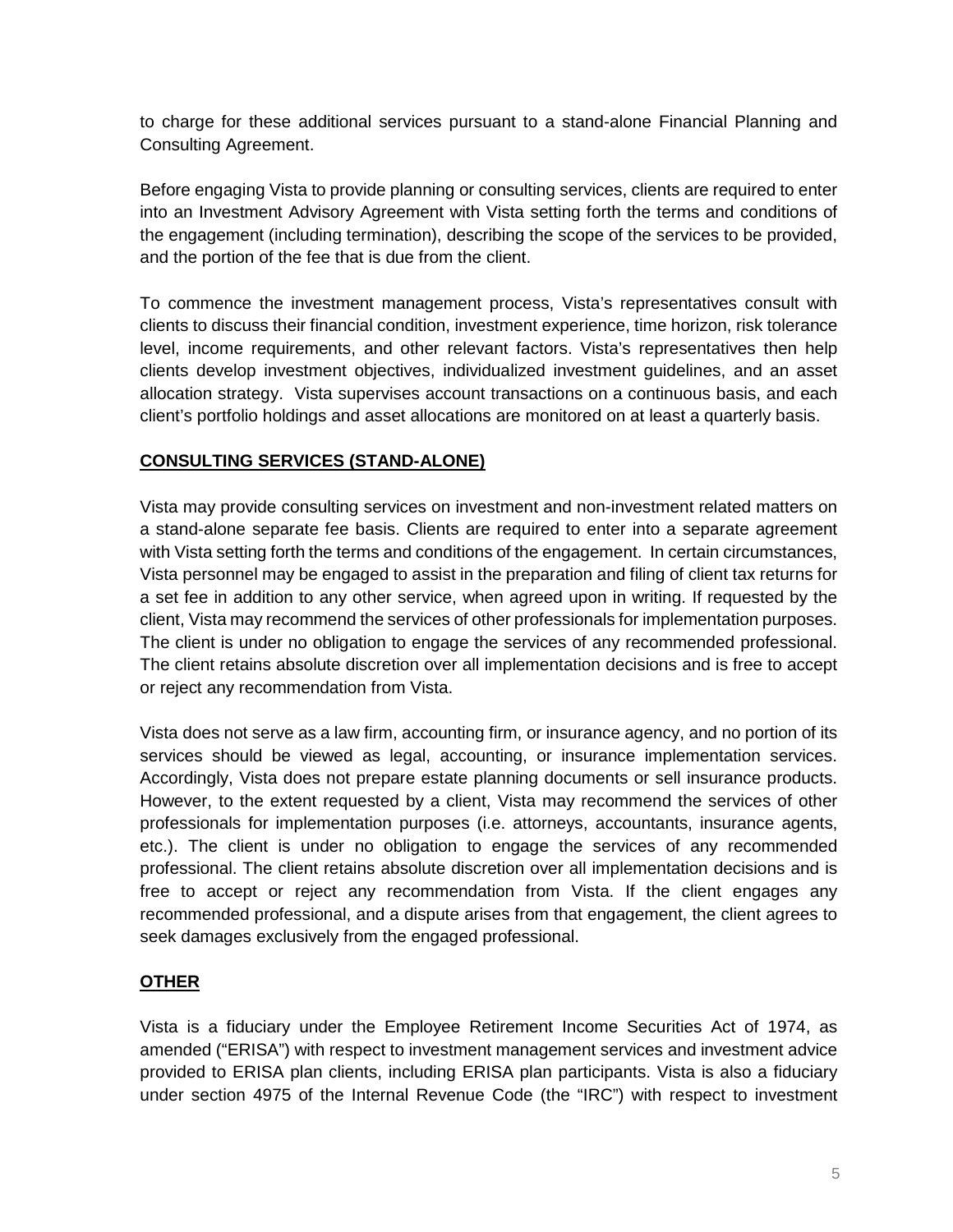to charge for these additional services pursuant to a stand-alone Financial Planning and Consulting Agreement.

Before engaging Vista to provide planning or consulting services, clients are required to enter into an Investment Advisory Agreement with Vista setting forth the terms and conditions of the engagement (including termination), describing the scope of the services to be provided, and the portion of the fee that is due from the client.

To commence the investment management process, Vista's representatives consult with clients to discuss their financial condition, investment experience, time horizon, risk tolerance level, income requirements, and other relevant factors. Vista's representatives then help clients develop investment objectives, individualized investment guidelines, and an asset allocation strategy. Vista supervises account transactions on a continuous basis, and each client's portfolio holdings and asset allocations are monitored on at least a quarterly basis.

## **CONSULTING SERVICES (STAND-ALONE)**

Vista may provide consulting services on investment and non-investment related matters on a stand-alone separate fee basis. Clients are required to enter into a separate agreement with Vista setting forth the terms and conditions of the engagement. In certain circumstances, Vista personnel may be engaged to assist in the preparation and filing of client tax returns for a set fee in addition to any other service, when agreed upon in writing. If requested by the client, Vista may recommend the services of other professionals for implementation purposes. The client is under no obligation to engage the services of any recommended professional. The client retains absolute discretion over all implementation decisions and is free to accept or reject any recommendation from Vista.

Vista does not serve as a law firm, accounting firm, or insurance agency, and no portion of its services should be viewed as legal, accounting, or insurance implementation services. Accordingly, Vista does not prepare estate planning documents or sell insurance products. However, to the extent requested by a client, Vista may recommend the services of other professionals for implementation purposes (i.e. attorneys, accountants, insurance agents, etc.). The client is under no obligation to engage the services of any recommended professional. The client retains absolute discretion over all implementation decisions and is free to accept or reject any recommendation from Vista. If the client engages any recommended professional, and a dispute arises from that engagement, the client agrees to seek damages exclusively from the engaged professional.

## **OTHER**

Vista is a fiduciary under the Employee Retirement Income Securities Act of 1974, as amended ("ERISA") with respect to investment management services and investment advice provided to ERISA plan clients, including ERISA plan participants. Vista is also a fiduciary under section 4975 of the Internal Revenue Code (the "IRC") with respect to investment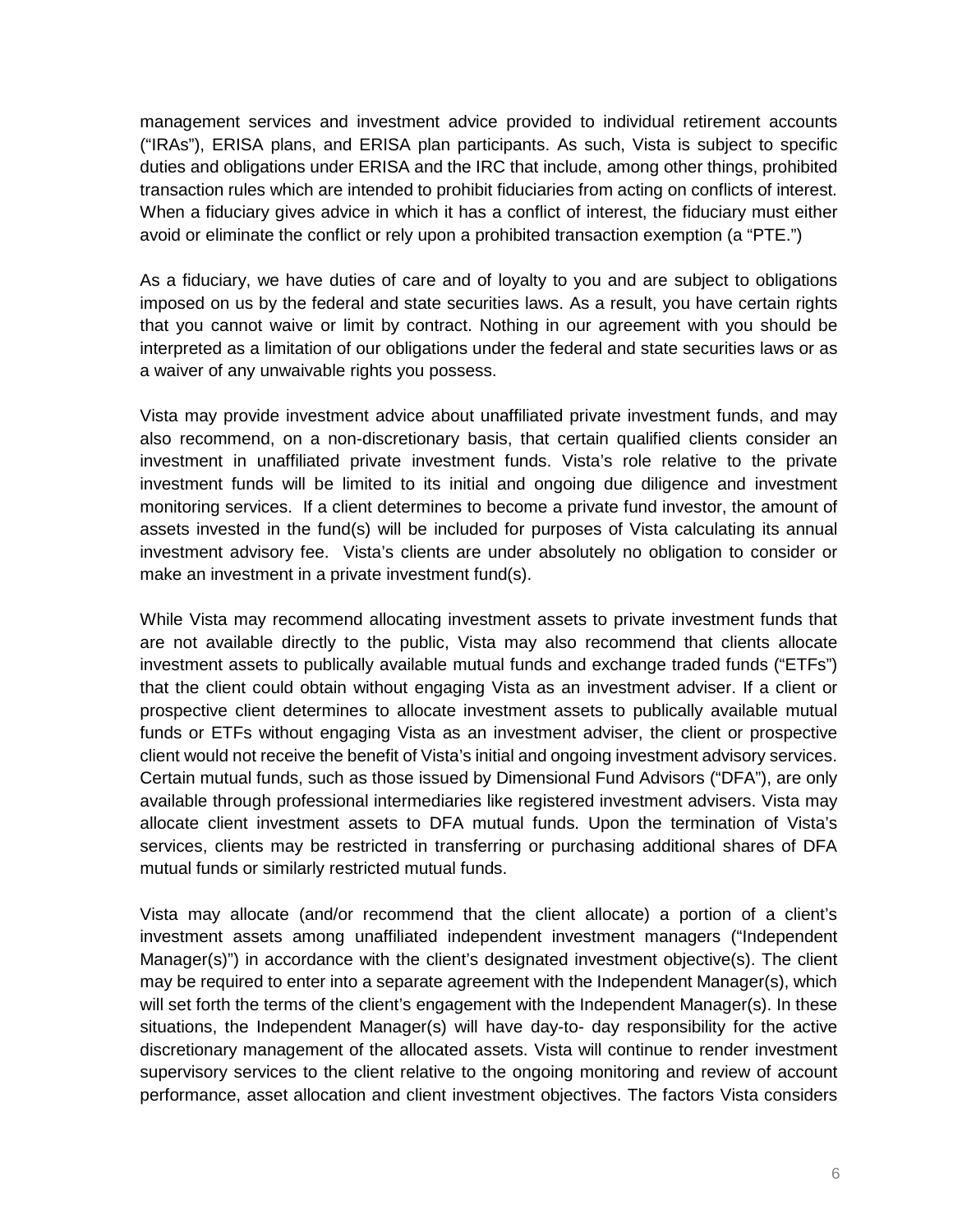management services and investment advice provided to individual retirement accounts ("IRAs"), ERISA plans, and ERISA plan participants. As such, Vista is subject to specific duties and obligations under ERISA and the IRC that include, among other things, prohibited transaction rules which are intended to prohibit fiduciaries from acting on conflicts of interest. When a fiduciary gives advice in which it has a conflict of interest, the fiduciary must either avoid or eliminate the conflict or rely upon a prohibited transaction exemption (a "PTE.")

As a fiduciary, we have duties of care and of loyalty to you and are subject to obligations imposed on us by the federal and state securities laws. As a result, you have certain rights that you cannot waive or limit by contract. Nothing in our agreement with you should be interpreted as a limitation of our obligations under the federal and state securities laws or as a waiver of any unwaivable rights you possess.

Vista may provide investment advice about unaffiliated private investment funds, and may also recommend, on a non-discretionary basis, that certain qualified clients consider an investment in unaffiliated private investment funds. Vista's role relative to the private investment funds will be limited to its initial and ongoing due diligence and investment monitoring services. If a client determines to become a private fund investor, the amount of assets invested in the fund(s) will be included for purposes of Vista calculating its annual investment advisory fee. Vista's clients are under absolutely no obligation to consider or make an investment in a private investment fund(s).

While Vista may recommend allocating investment assets to private investment funds that are not available directly to the public, Vista may also recommend that clients allocate investment assets to publically available mutual funds and exchange traded funds ("ETFs") that the client could obtain without engaging Vista as an investment adviser. If a client or prospective client determines to allocate investment assets to publically available mutual funds or ETFs without engaging Vista as an investment adviser, the client or prospective client would not receive the benefit of Vista's initial and ongoing investment advisory services. Certain mutual funds, such as those issued by Dimensional Fund Advisors ("DFA"), are only available through professional intermediaries like registered investment advisers. Vista may allocate client investment assets to DFA mutual funds. Upon the termination of Vista's services, clients may be restricted in transferring or purchasing additional shares of DFA mutual funds or similarly restricted mutual funds.

Vista may allocate (and/or recommend that the client allocate) a portion of a client's investment assets among unaffiliated independent investment managers ("Independent Manager(s)") in accordance with the client's designated investment objective(s). The client may be required to enter into a separate agreement with the Independent Manager(s), which will set forth the terms of the client's engagement with the Independent Manager(s). In these situations, the Independent Manager(s) will have day-to- day responsibility for the active discretionary management of the allocated assets. Vista will continue to render investment supervisory services to the client relative to the ongoing monitoring and review of account performance, asset allocation and client investment objectives. The factors Vista considers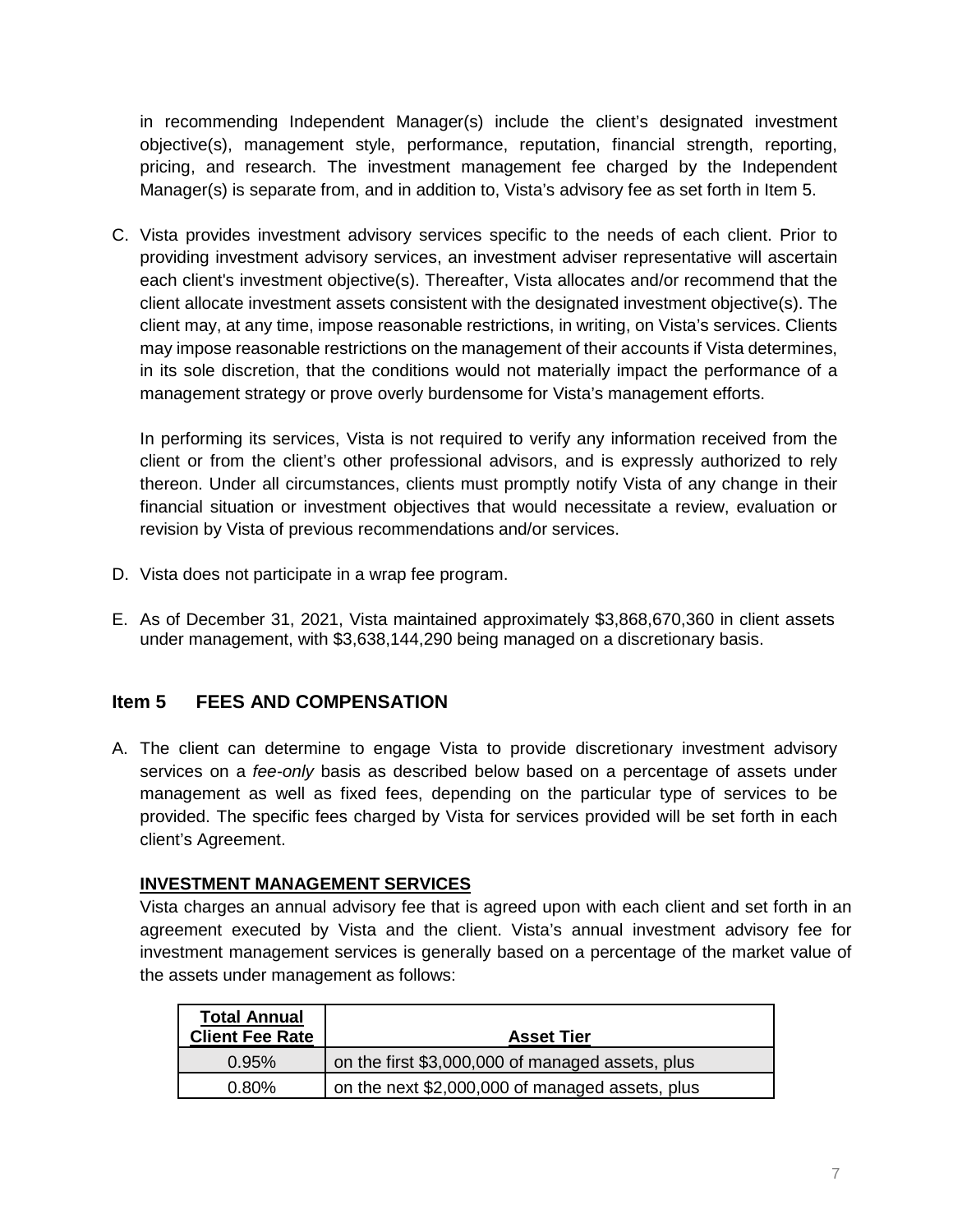in recommending Independent Manager(s) include the client's designated investment objective(s), management style, performance, reputation, financial strength, reporting, pricing, and research. The investment management fee charged by the Independent Manager(s) is separate from, and in addition to, Vista's advisory fee as set forth in Item 5.

C. Vista provides investment advisory services specific to the needs of each client. Prior to providing investment advisory services, an investment adviser representative will ascertain each client's investment objective(s). Thereafter, Vista allocates and/or recommend that the client allocate investment assets consistent with the designated investment objective(s). The client may, at any time, impose reasonable restrictions, in writing, on Vista's services. Clients may impose reasonable restrictions on the management of their accounts if Vista determines, in its sole discretion, that the conditions would not materially impact the performance of a management strategy or prove overly burdensome for Vista's management efforts.

In performing its services, Vista is not required to verify any information received from the client or from the client's other professional advisors, and is expressly authorized to rely thereon. Under all circumstances, clients must promptly notify Vista of any change in their financial situation or investment objectives that would necessitate a review, evaluation or revision by Vista of previous recommendations and/or services.

- D. Vista does not participate in a wrap fee program.
- E. As of December 31, 2021, Vista maintained approximately \$3,868,670,360 in client assets under management, with \$3,638,144,290 being managed on a discretionary basis.

# <span id="page-6-0"></span>**Item 5 FEES AND COMPENSATION**

A. The client can determine to engage Vista to provide discretionary investment advisory services on a *fee-only* basis as described below based on a percentage of assets under management as well as fixed fees, depending on the particular type of services to be provided. The specific fees charged by Vista for services provided will be set forth in each client's Agreement.

## **INVESTMENT MANAGEMENT SERVICES**

Vista charges an annual advisory fee that is agreed upon with each client and set forth in an agreement executed by Vista and the client. Vista's annual investment advisory fee for investment management services is generally based on a percentage of the market value of the assets under management as follows:

| <b>Total Annual</b><br><b>Client Fee Rate</b> | <b>Asset Tier</b>                                |
|-----------------------------------------------|--------------------------------------------------|
| 0.95%                                         | on the first \$3,000,000 of managed assets, plus |
| 0.80%                                         | on the next \$2,000,000 of managed assets, plus  |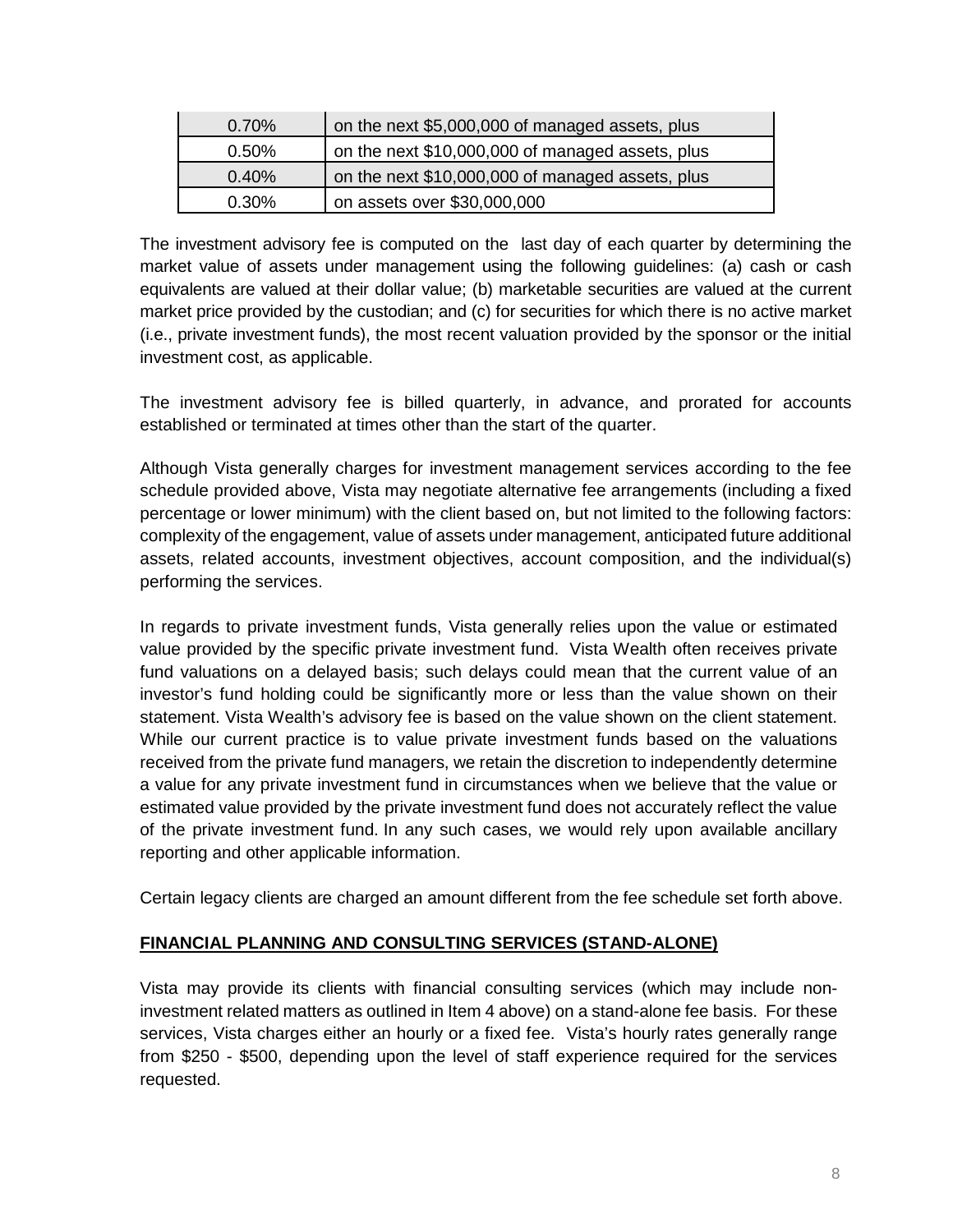| $0.70\%$ | on the next \$5,000,000 of managed assets, plus  |
|----------|--------------------------------------------------|
| $0.50\%$ | on the next \$10,000,000 of managed assets, plus |
| 0.40%    | on the next \$10,000,000 of managed assets, plus |
| $0.30\%$ | on assets over \$30,000,000                      |

The investment advisory fee is computed on the last day of each quarter by determining the market value of assets under management using the following guidelines: (a) cash or cash equivalents are valued at their dollar value; (b) marketable securities are valued at the current market price provided by the custodian; and (c) for securities for which there is no active market (i.e., private investment funds), the most recent valuation provided by the sponsor or the initial investment cost, as applicable.

The investment advisory fee is billed quarterly, in advance, and prorated for accounts established or terminated at times other than the start of the quarter.

Although Vista generally charges for investment management services according to the fee schedule provided above, Vista may negotiate alternative fee arrangements (including a fixed percentage or lower minimum) with the client based on, but not limited to the following factors: complexity of the engagement, value of assets under management, anticipated future additional assets, related accounts, investment objectives, account composition, and the individual(s) performing the services.

In regards to private investment funds, Vista generally relies upon the value or estimated value provided by the specific private investment fund. Vista Wealth often receives private fund valuations on a delayed basis; such delays could mean that the current value of an investor's fund holding could be significantly more or less than the value shown on their statement. Vista Wealth's advisory fee is based on the value shown on the client statement. While our current practice is to value private investment funds based on the valuations received from the private fund managers, we retain the discretion to independently determine a value for any private investment fund in circumstances when we believe that the value or estimated value provided by the private investment fund does not accurately reflect the value of the private investment fund. In any such cases, we would rely upon available ancillary reporting and other applicable information.

Certain legacy clients are charged an amount different from the fee schedule set forth above.

## **FINANCIAL PLANNING AND CONSULTING SERVICES (STAND-ALONE)**

Vista may provide its clients with financial consulting services (which may include noninvestment related matters as outlined in Item 4 above) on a stand-alone fee basis. For these services, Vista charges either an hourly or a fixed fee. Vista's hourly rates generally range from \$250 - \$500, depending upon the level of staff experience required for the services requested.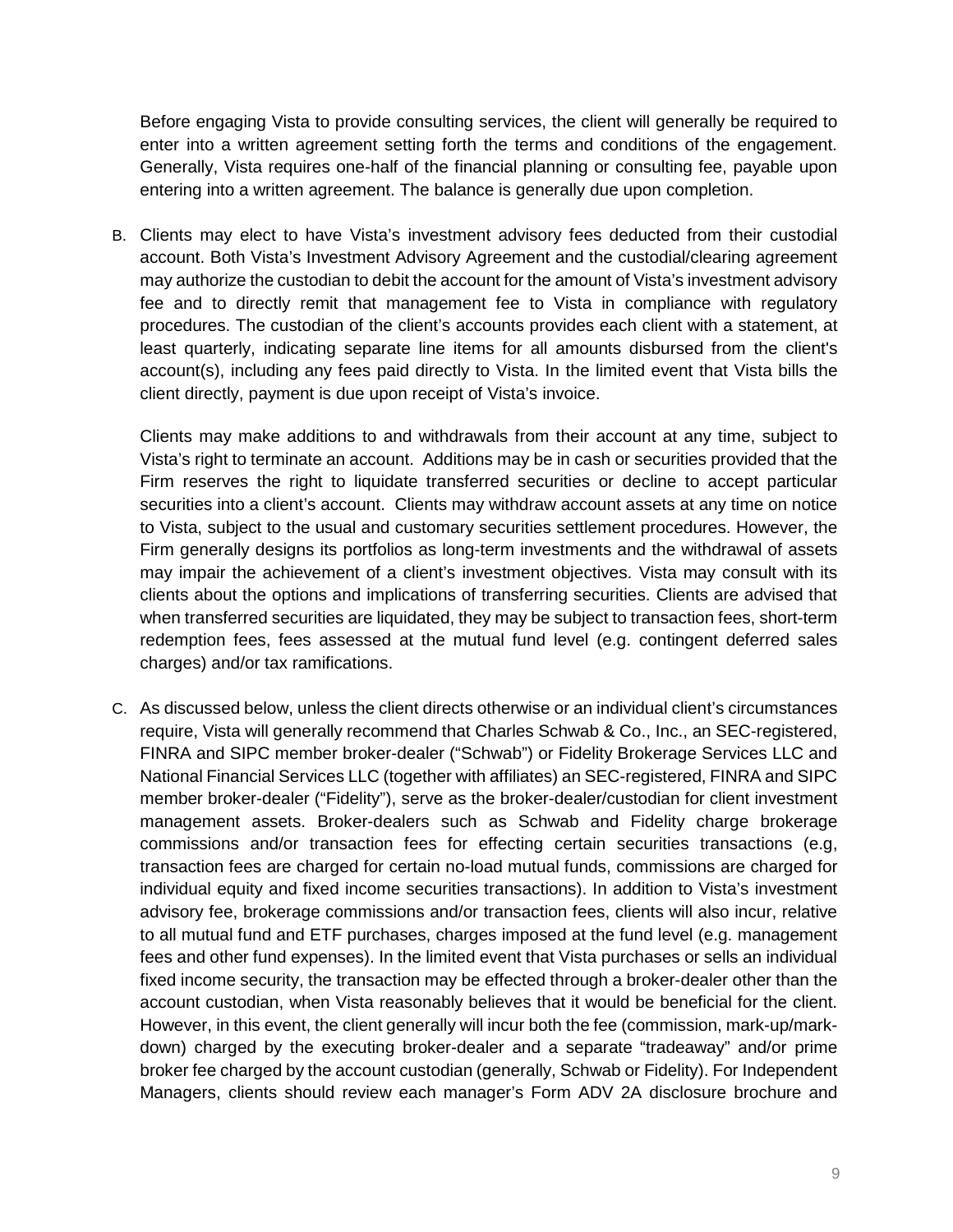Before engaging Vista to provide consulting services, the client will generally be required to enter into a written agreement setting forth the terms and conditions of the engagement. Generally, Vista requires one-half of the financial planning or consulting fee, payable upon entering into a written agreement. The balance is generally due upon completion.

B. Clients may elect to have Vista's investment advisory fees deducted from their custodial account. Both Vista's Investment Advisory Agreement and the custodial/clearing agreement may authorize the custodian to debit the account for the amount of Vista's investment advisory fee and to directly remit that management fee to Vista in compliance with regulatory procedures. The custodian of the client's accounts provides each client with a statement, at least quarterly, indicating separate line items for all amounts disbursed from the client's account(s), including any fees paid directly to Vista. In the limited event that Vista bills the client directly, payment is due upon receipt of Vista's invoice.

Clients may make additions to and withdrawals from their account at any time, subject to Vista's right to terminate an account. Additions may be in cash or securities provided that the Firm reserves the right to liquidate transferred securities or decline to accept particular securities into a client's account. Clients may withdraw account assets at any time on notice to Vista, subject to the usual and customary securities settlement procedures. However, the Firm generally designs its portfolios as long-term investments and the withdrawal of assets may impair the achievement of a client's investment objectives. Vista may consult with its clients about the options and implications of transferring securities. Clients are advised that when transferred securities are liquidated, they may be subject to transaction fees, short-term redemption fees, fees assessed at the mutual fund level (e.g. contingent deferred sales charges) and/or tax ramifications.

C. As discussed below, unless the client directs otherwise or an individual client's circumstances require, Vista will generally recommend that Charles Schwab & Co., Inc., an SEC-registered, FINRA and SIPC member broker-dealer ("Schwab") or Fidelity Brokerage Services LLC and National Financial Services LLC (together with affiliates) an SEC-registered, FINRA and SIPC member broker-dealer ("Fidelity"), serve as the broker-dealer/custodian for client investment management assets. Broker-dealers such as Schwab and Fidelity charge brokerage commissions and/or transaction fees for effecting certain securities transactions (e.g, transaction fees are charged for certain no-load mutual funds, commissions are charged for individual equity and fixed income securities transactions). In addition to Vista's investment advisory fee, brokerage commissions and/or transaction fees, clients will also incur, relative to all mutual fund and ETF purchases, charges imposed at the fund level (e.g. management fees and other fund expenses). In the limited event that Vista purchases or sells an individual fixed income security, the transaction may be effected through a broker-dealer other than the account custodian, when Vista reasonably believes that it would be beneficial for the client. However, in this event, the client generally will incur both the fee (commission, mark-up/markdown) charged by the executing broker-dealer and a separate "tradeaway" and/or prime broker fee charged by the account custodian (generally, Schwab or Fidelity). For Independent Managers, clients should review each manager's Form ADV 2A disclosure brochure and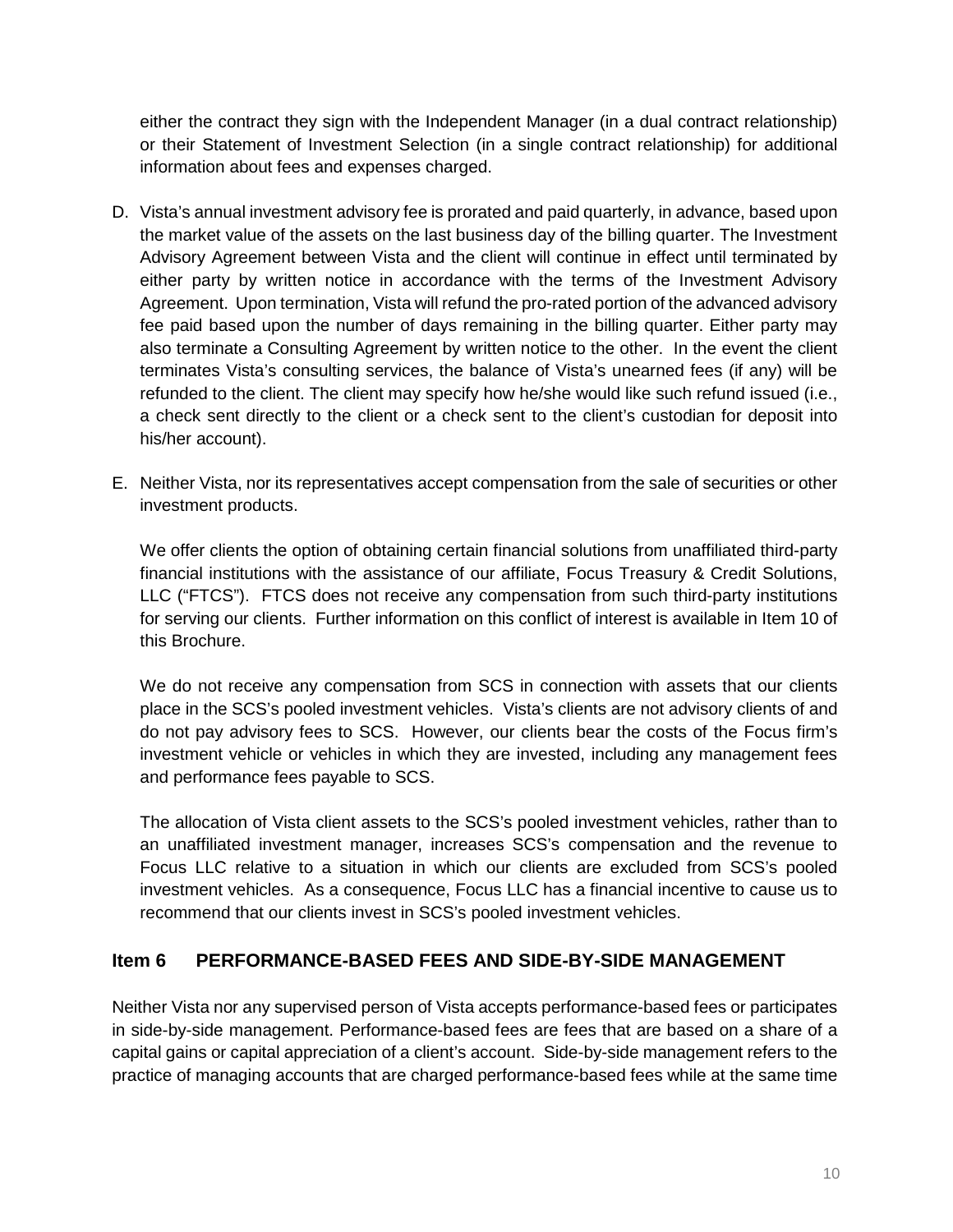either the contract they sign with the Independent Manager (in a dual contract relationship) or their Statement of Investment Selection (in a single contract relationship) for additional information about fees and expenses charged.

- D. Vista's annual investment advisory fee is prorated and paid quarterly, in advance, based upon the market value of the assets on the last business day of the billing quarter. The Investment Advisory Agreement between Vista and the client will continue in effect until terminated by either party by written notice in accordance with the terms of the Investment Advisory Agreement. Upon termination, Vista will refund the pro-rated portion of the advanced advisory fee paid based upon the number of days remaining in the billing quarter. Either party may also terminate a Consulting Agreement by written notice to the other. In the event the client terminates Vista's consulting services, the balance of Vista's unearned fees (if any) will be refunded to the client. The client may specify how he/she would like such refund issued (i.e., a check sent directly to the client or a check sent to the client's custodian for deposit into his/her account).
- E. Neither Vista, nor its representatives accept compensation from the sale of securities or other investment products.

We offer clients the option of obtaining certain financial solutions from unaffiliated third-party financial institutions with the assistance of our affiliate, Focus Treasury & Credit Solutions, LLC ("FTCS"). FTCS does not receive any compensation from such third-party institutions for serving our clients. Further information on this conflict of interest is available in Item 10 of this Brochure.

We do not receive any compensation from SCS in connection with assets that our clients place in the SCS's pooled investment vehicles. Vista's clients are not advisory clients of and do not pay advisory fees to SCS. However, our clients bear the costs of the Focus firm's investment vehicle or vehicles in which they are invested, including any management fees and performance fees payable to SCS.

The allocation of Vista client assets to the SCS's pooled investment vehicles, rather than to an unaffiliated investment manager, increases SCS's compensation and the revenue to Focus LLC relative to a situation in which our clients are excluded from SCS's pooled investment vehicles. As a consequence, Focus LLC has a financial incentive to cause us to recommend that our clients invest in SCS's pooled investment vehicles.

# <span id="page-9-0"></span>**Item 6 PERFORMANCE-BASED FEES AND SIDE-BY-SIDE MANAGEMENT**

Neither Vista nor any supervised person of Vista accepts performance-based fees or participates in side-by-side management. Performance-based fees are fees that are based on a share of a capital gains or capital appreciation of a client's account. Side-by-side management refers to the practice of managing accounts that are charged performance-based fees while at the same time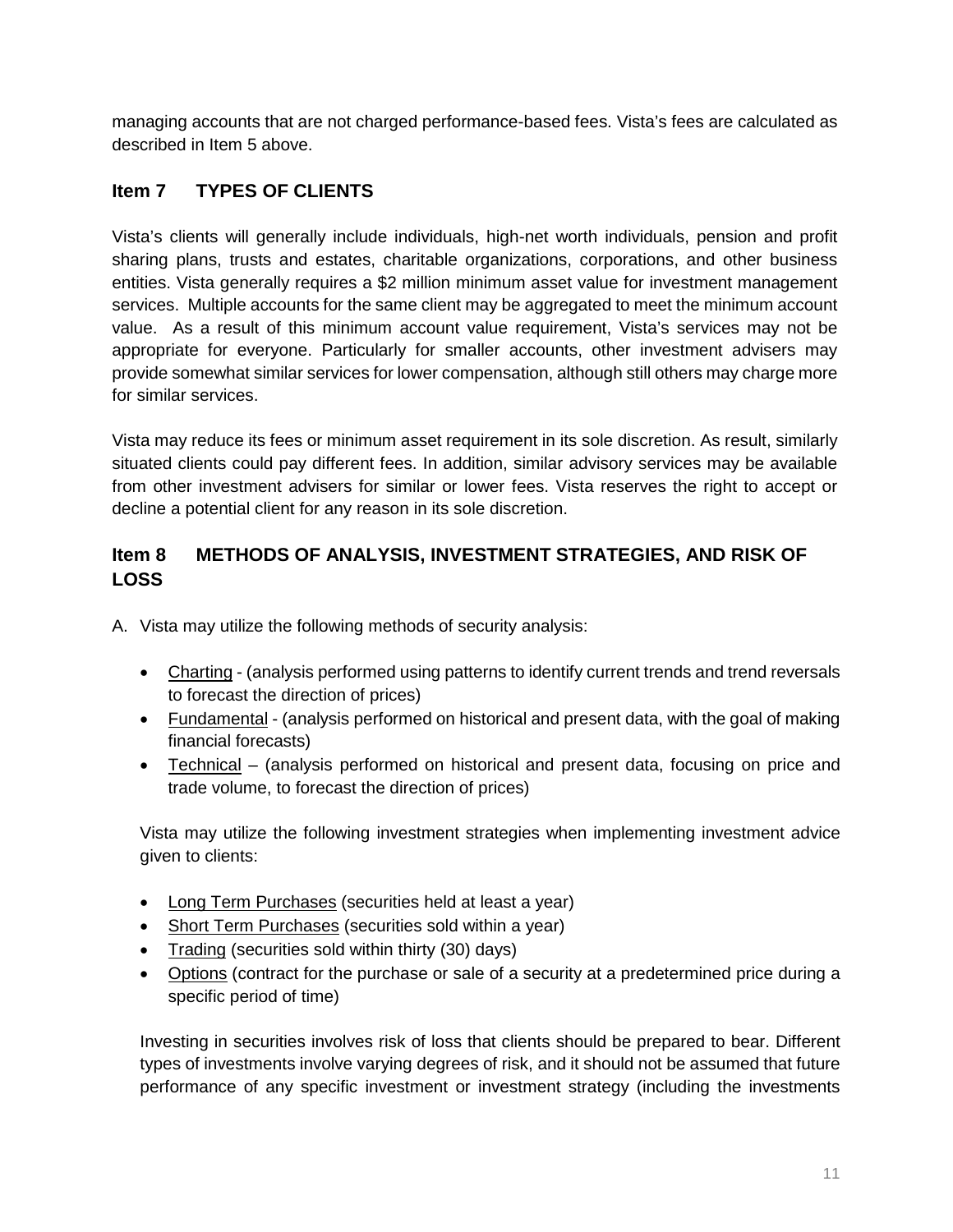managing accounts that are not charged performance-based fees. Vista's fees are calculated as described in Item 5 above.

# <span id="page-10-0"></span>**Item 7 TYPES OF CLIENTS**

Vista's clients will generally include individuals, high-net worth individuals, pension and profit sharing plans, trusts and estates, charitable organizations, corporations, and other business entities. Vista generally requires a \$2 million minimum asset value for investment management services. Multiple accounts for the same client may be aggregated to meet the minimum account value. As a result of this minimum account value requirement, Vista's services may not be appropriate for everyone. Particularly for smaller accounts, other investment advisers may provide somewhat similar services for lower compensation, although still others may charge more for similar services.

Vista may reduce its fees or minimum asset requirement in its sole discretion. As result, similarly situated clients could pay different fees. In addition, similar advisory services may be available from other investment advisers for similar or lower fees. Vista reserves the right to accept or decline a potential client for any reason in its sole discretion.

# <span id="page-10-1"></span>**Item 8 METHODS OF ANALYSIS, INVESTMENT STRATEGIES, AND RISK OF LOSS**

A. Vista may utilize the following methods of security analysis:

- Charting (analysis performed using patterns to identify current trends and trend reversals to forecast the direction of prices)
- Fundamental (analysis performed on historical and present data, with the goal of making financial forecasts)
- Technical (analysis performed on historical and present data, focusing on price and trade volume, to forecast the direction of prices)

Vista may utilize the following investment strategies when implementing investment advice given to clients:

- Long Term Purchases (securities held at least a year)
- Short Term Purchases (securities sold within a year)
- Trading (securities sold within thirty (30) days)
- Options (contract for the purchase or sale of a security at a predetermined price during a specific period of time)

Investing in securities involves risk of loss that clients should be prepared to bear. Different types of investments involve varying degrees of risk, and it should not be assumed that future performance of any specific investment or investment strategy (including the investments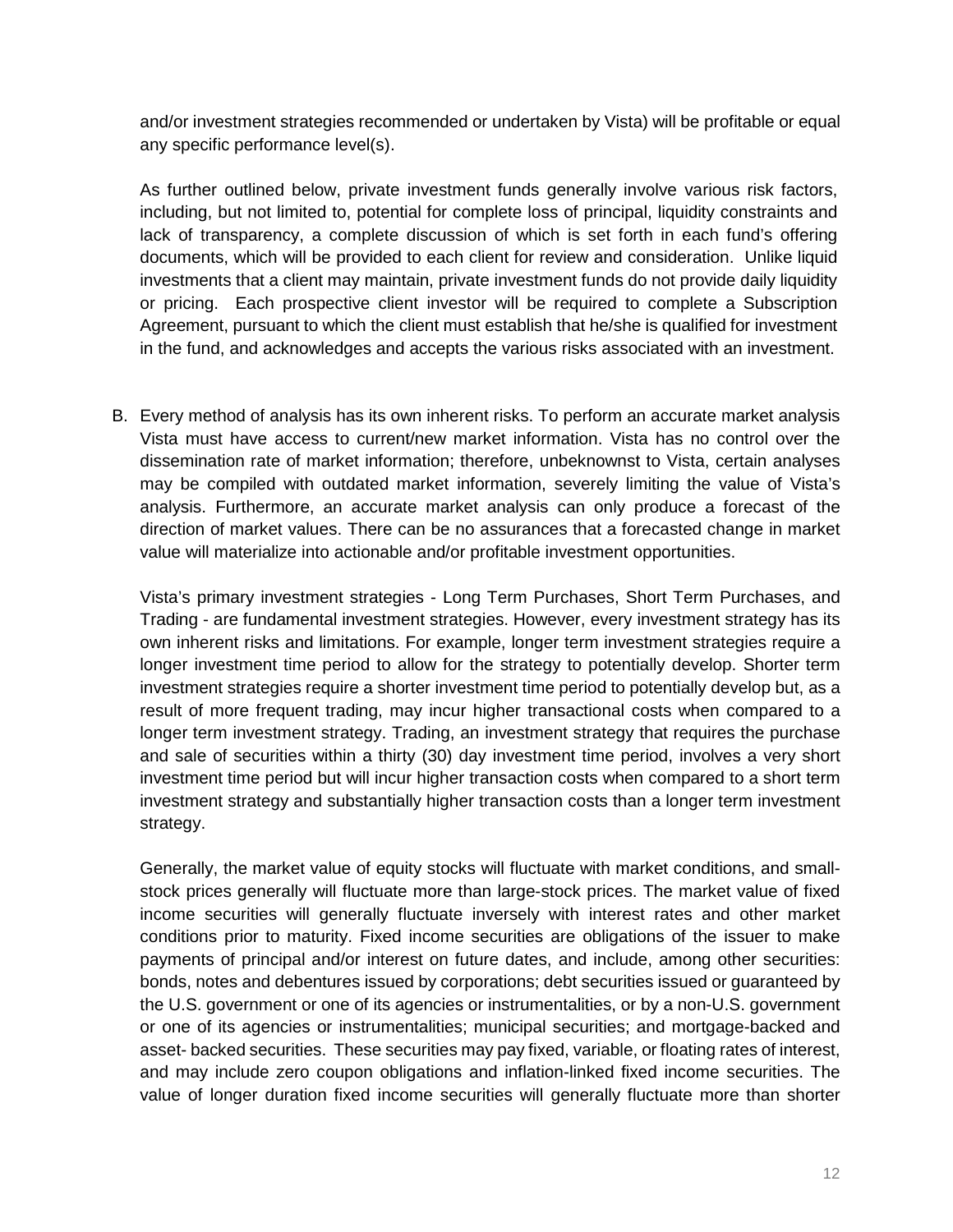and/or investment strategies recommended or undertaken by Vista) will be profitable or equal any specific performance level(s).

As further outlined below, private investment funds generally involve various risk factors, including, but not limited to, potential for complete loss of principal, liquidity constraints and lack of transparency, a complete discussion of which is set forth in each fund's offering documents, which will be provided to each client for review and consideration. Unlike liquid investments that a client may maintain, private investment funds do not provide daily liquidity or pricing. Each prospective client investor will be required to complete a Subscription Agreement, pursuant to which the client must establish that he/she is qualified for investment in the fund, and acknowledges and accepts the various risks associated with an investment.

B. Every method of analysis has its own inherent risks. To perform an accurate market analysis Vista must have access to current/new market information. Vista has no control over the dissemination rate of market information; therefore, unbeknownst to Vista, certain analyses may be compiled with outdated market information, severely limiting the value of Vista's analysis. Furthermore, an accurate market analysis can only produce a forecast of the direction of market values. There can be no assurances that a forecasted change in market value will materialize into actionable and/or profitable investment opportunities.

Vista's primary investment strategies - Long Term Purchases, Short Term Purchases, and Trading - are fundamental investment strategies. However, every investment strategy has its own inherent risks and limitations. For example, longer term investment strategies require a longer investment time period to allow for the strategy to potentially develop. Shorter term investment strategies require a shorter investment time period to potentially develop but, as a result of more frequent trading, may incur higher transactional costs when compared to a longer term investment strategy. Trading, an investment strategy that requires the purchase and sale of securities within a thirty (30) day investment time period, involves a very short investment time period but will incur higher transaction costs when compared to a short term investment strategy and substantially higher transaction costs than a longer term investment strategy.

Generally, the market value of equity stocks will fluctuate with market conditions, and smallstock prices generally will fluctuate more than large-stock prices. The market value of fixed income securities will generally fluctuate inversely with interest rates and other market conditions prior to maturity. Fixed income securities are obligations of the issuer to make payments of principal and/or interest on future dates, and include, among other securities: bonds, notes and debentures issued by corporations; debt securities issued or guaranteed by the U.S. government or one of its agencies or instrumentalities, or by a non-U.S. government or one of its agencies or instrumentalities; municipal securities; and mortgage-backed and asset- backed securities. These securities may pay fixed, variable, or floating rates of interest, and may include zero coupon obligations and inflation-linked fixed income securities. The value of longer duration fixed income securities will generally fluctuate more than shorter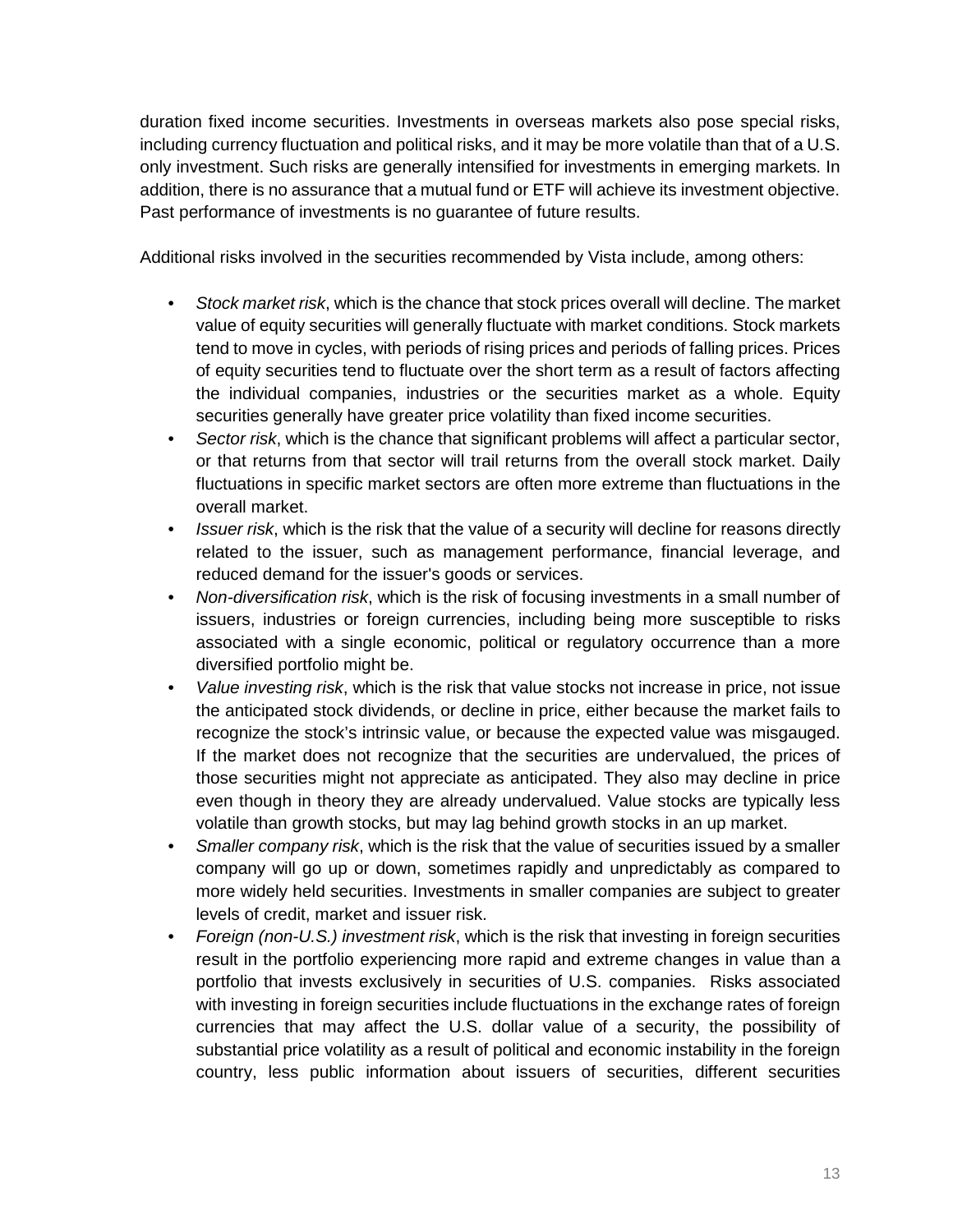duration fixed income securities. Investments in overseas markets also pose special risks, including currency fluctuation and political risks, and it may be more volatile than that of a U.S. only investment. Such risks are generally intensified for investments in emerging markets. In addition, there is no assurance that a mutual fund or ETF will achieve its investment objective. Past performance of investments is no guarantee of future results.

Additional risks involved in the securities recommended by Vista include, among others:

- *Stock market risk*, which is the chance that stock prices overall will decline. The market value of equity securities will generally fluctuate with market conditions. Stock markets tend to move in cycles, with periods of rising prices and periods of falling prices. Prices of equity securities tend to fluctuate over the short term as a result of factors affecting the individual companies, industries or the securities market as a whole. Equity securities generally have greater price volatility than fixed income securities.
- *Sector risk*, which is the chance that significant problems will affect a particular sector, or that returns from that sector will trail returns from the overall stock market. Daily fluctuations in specific market sectors are often more extreme than fluctuations in the overall market.
- *Issuer risk*, which is the risk that the value of a security will decline for reasons directly related to the issuer, such as management performance, financial leverage, and reduced demand for the issuer's goods or services.
- *Non-diversification risk*, which is the risk of focusing investments in a small number of issuers, industries or foreign currencies, including being more susceptible to risks associated with a single economic, political or regulatory occurrence than a more diversified portfolio might be.
- *Value investing risk*, which is the risk that value stocks not increase in price, not issue the anticipated stock dividends, or decline in price, either because the market fails to recognize the stock's intrinsic value, or because the expected value was misgauged. If the market does not recognize that the securities are undervalued, the prices of those securities might not appreciate as anticipated. They also may decline in price even though in theory they are already undervalued. Value stocks are typically less volatile than growth stocks, but may lag behind growth stocks in an up market.
- *Smaller company risk*, which is the risk that the value of securities issued by a smaller company will go up or down, sometimes rapidly and unpredictably as compared to more widely held securities. Investments in smaller companies are subject to greater levels of credit, market and issuer risk.
- *Foreign (non-U.S.) investment risk*, which is the risk that investing in foreign securities result in the portfolio experiencing more rapid and extreme changes in value than a portfolio that invests exclusively in securities of U.S. companies. Risks associated with investing in foreign securities include fluctuations in the exchange rates of foreign currencies that may affect the U.S. dollar value of a security, the possibility of substantial price volatility as a result of political and economic instability in the foreign country, less public information about issuers of securities, different securities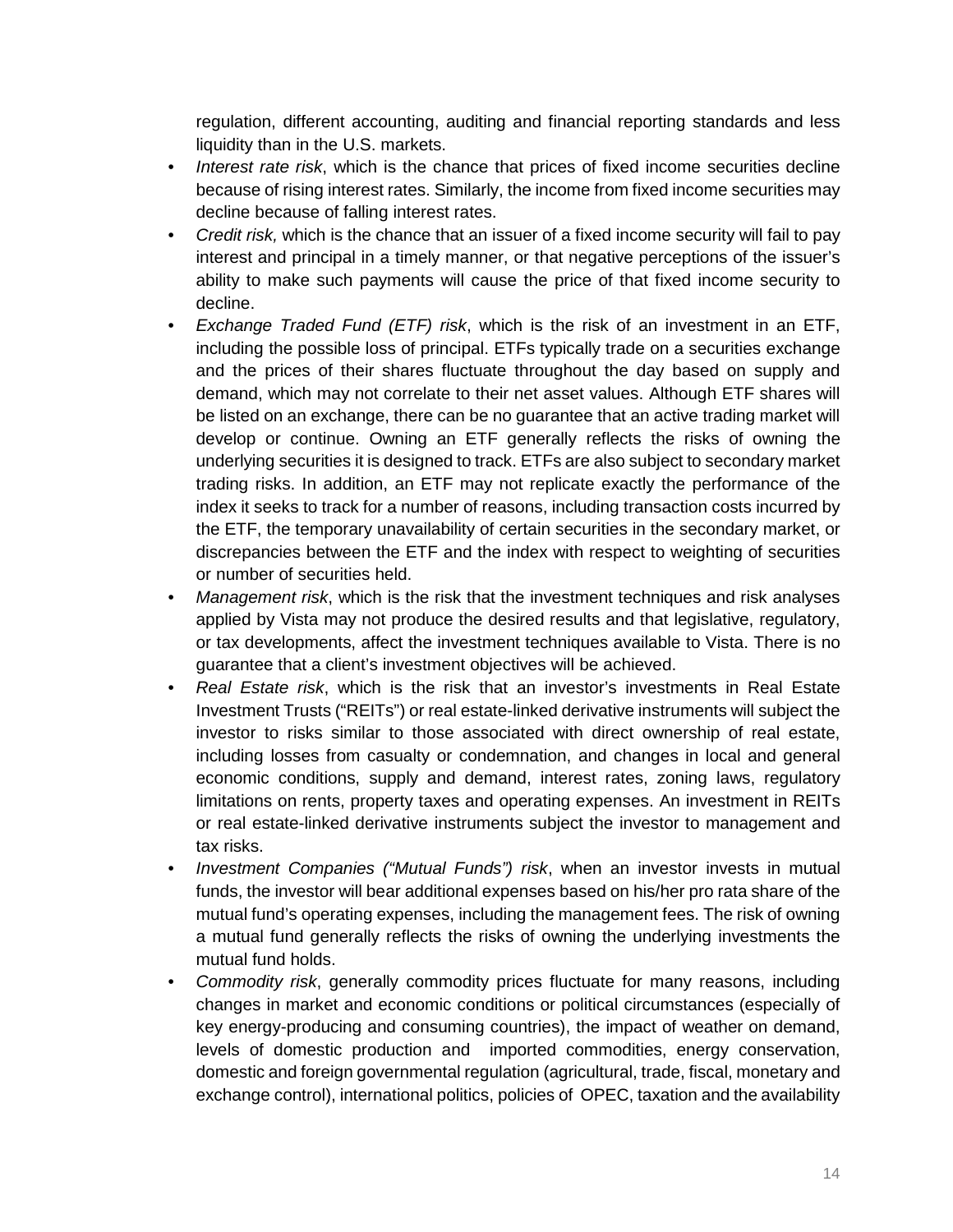regulation, different accounting, auditing and financial reporting standards and less liquidity than in the U.S. markets.

- *Interest rate risk*, which is the chance that prices of fixed income securities decline because of rising interest rates. Similarly, the income from fixed income securities may decline because of falling interest rates.
- *Credit risk,* which is the chance that an issuer of a fixed income security will fail to pay interest and principal in a timely manner, or that negative perceptions of the issuer's ability to make such payments will cause the price of that fixed income security to decline.
- *Exchange Traded Fund (ETF) risk*, which is the risk of an investment in an ETF, including the possible loss of principal. ETFs typically trade on a securities exchange and the prices of their shares fluctuate throughout the day based on supply and demand, which may not correlate to their net asset values. Although ETF shares will be listed on an exchange, there can be no guarantee that an active trading market will develop or continue. Owning an ETF generally reflects the risks of owning the underlying securities it is designed to track. ETFs are also subject to secondary market trading risks. In addition, an ETF may not replicate exactly the performance of the index it seeks to track for a number of reasons, including transaction costs incurred by the ETF, the temporary unavailability of certain securities in the secondary market, or discrepancies between the ETF and the index with respect to weighting of securities or number of securities held.
- *Management risk*, which is the risk that the investment techniques and risk analyses applied by Vista may not produce the desired results and that legislative, regulatory, or tax developments, affect the investment techniques available to Vista. There is no guarantee that a client's investment objectives will be achieved.
- *Real Estate risk*, which is the risk that an investor's investments in Real Estate Investment Trusts ("REITs") or real estate-linked derivative instruments will subject the investor to risks similar to those associated with direct ownership of real estate, including losses from casualty or condemnation, and changes in local and general economic conditions, supply and demand, interest rates, zoning laws, regulatory limitations on rents, property taxes and operating expenses. An investment in REITs or real estate-linked derivative instruments subject the investor to management and tax risks.
- *Investment Companies ("Mutual Funds") risk*, when an investor invests in mutual funds, the investor will bear additional expenses based on his/her pro rata share of the mutual fund's operating expenses, including the management fees. The risk of owning a mutual fund generally reflects the risks of owning the underlying investments the mutual fund holds.
- *Commodity risk*, generally commodity prices fluctuate for many reasons, including changes in market and economic conditions or political circumstances (especially of key energy-producing and consuming countries), the impact of weather on demand, levels of domestic production and imported commodities, energy conservation, domestic and foreign governmental regulation (agricultural, trade, fiscal, monetary and exchange control), international politics, policies of OPEC, taxation and the availability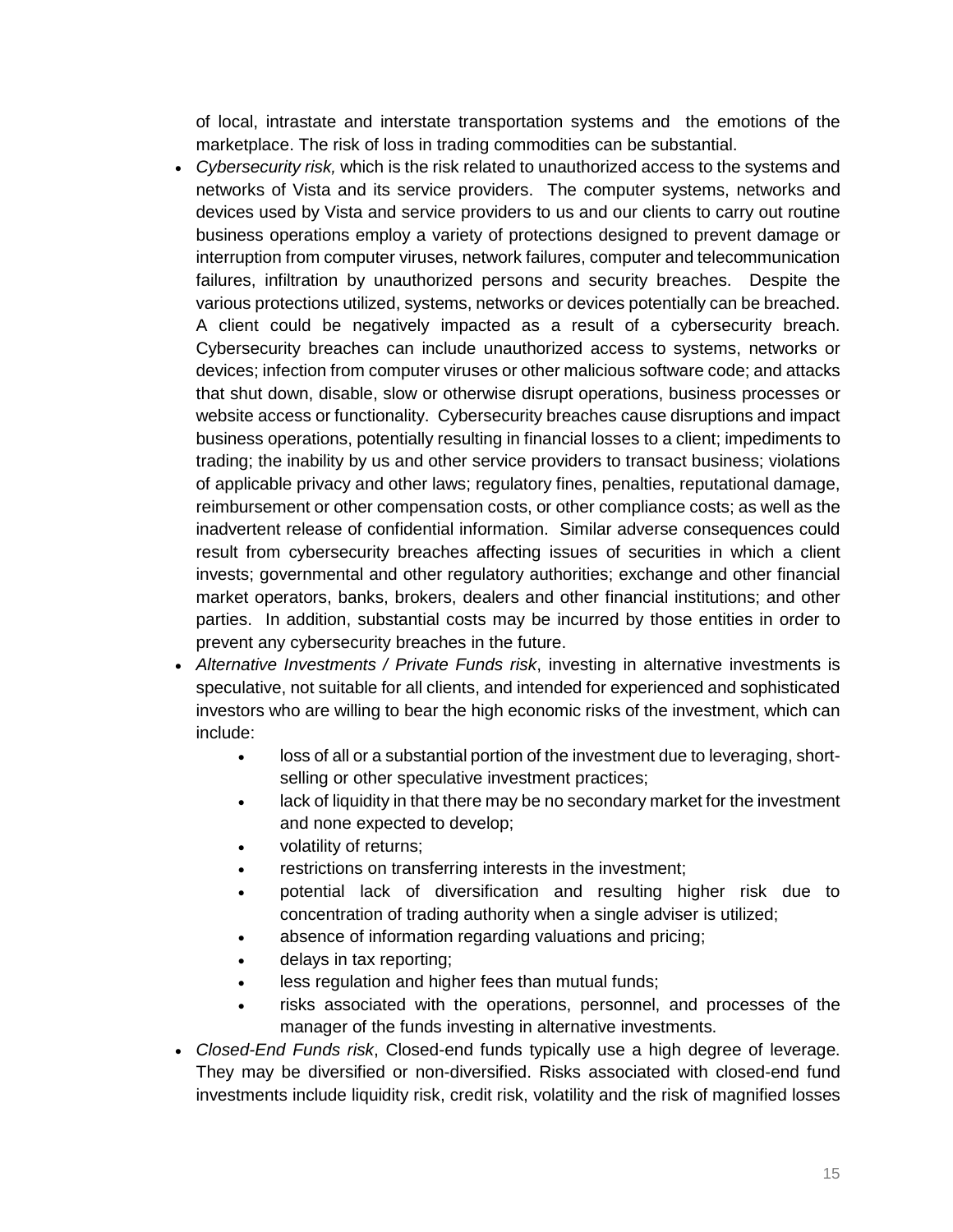of local, intrastate and interstate transportation systems and the emotions of the marketplace. The risk of loss in trading commodities can be substantial.

- *Cybersecurity risk,* which is the risk related to unauthorized access to the systems and networks of Vista and its service providers. The computer systems, networks and devices used by Vista and service providers to us and our clients to carry out routine business operations employ a variety of protections designed to prevent damage or interruption from computer viruses, network failures, computer and telecommunication failures, infiltration by unauthorized persons and security breaches. Despite the various protections utilized, systems, networks or devices potentially can be breached. A client could be negatively impacted as a result of a cybersecurity breach. Cybersecurity breaches can include unauthorized access to systems, networks or devices; infection from computer viruses or other malicious software code; and attacks that shut down, disable, slow or otherwise disrupt operations, business processes or website access or functionality. Cybersecurity breaches cause disruptions and impact business operations, potentially resulting in financial losses to a client; impediments to trading; the inability by us and other service providers to transact business; violations of applicable privacy and other laws; regulatory fines, penalties, reputational damage, reimbursement or other compensation costs, or other compliance costs; as well as the inadvertent release of confidential information. Similar adverse consequences could result from cybersecurity breaches affecting issues of securities in which a client invests; governmental and other regulatory authorities; exchange and other financial market operators, banks, brokers, dealers and other financial institutions; and other parties. In addition, substantial costs may be incurred by those entities in order to prevent any cybersecurity breaches in the future.
- *Alternative Investments / Private Funds risk*, investing in alternative investments is speculative, not suitable for all clients, and intended for experienced and sophisticated investors who are willing to bear the high economic risks of the investment, which can include:
	- loss of all or a substantial portion of the investment due to leveraging, shortselling or other speculative investment practices;
	- lack of liquidity in that there may be no secondary market for the investment and none expected to develop;
	- volatility of returns;
	- restrictions on transferring interests in the investment;
	- potential lack of diversification and resulting higher risk due to concentration of trading authority when a single adviser is utilized;
	- absence of information regarding valuations and pricing;
	- delays in tax reporting;
	- less regulation and higher fees than mutual funds;
	- risks associated with the operations, personnel, and processes of the manager of the funds investing in alternative investments.
- *Closed-End Funds risk*, Closed-end funds typically use a high degree of leverage. They may be diversified or non-diversified. Risks associated with closed-end fund investments include liquidity risk, credit risk, volatility and the risk of magnified losses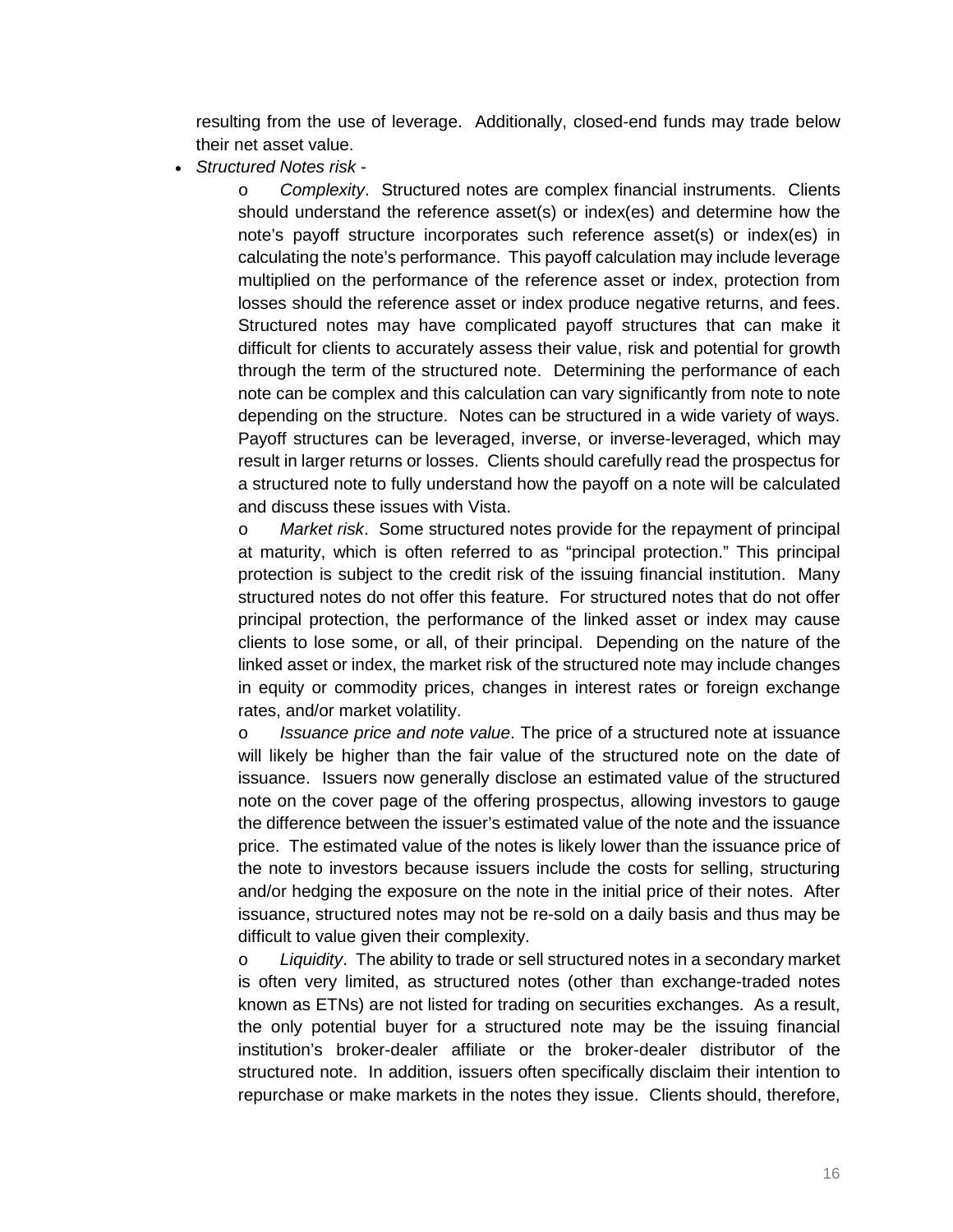resulting from the use of leverage. Additionally, closed-end funds may trade below their net asset value.

*Structured Notes risk* -

o *Complexity*. Structured notes are complex financial instruments. Clients should understand the reference asset(s) or index(es) and determine how the note's payoff structure incorporates such reference asset(s) or index(es) in calculating the note's performance. This payoff calculation may include leverage multiplied on the performance of the reference asset or index, protection from losses should the reference asset or index produce negative returns, and fees. Structured notes may have complicated payoff structures that can make it difficult for clients to accurately assess their value, risk and potential for growth through the term of the structured note. Determining the performance of each note can be complex and this calculation can vary significantly from note to note depending on the structure. Notes can be structured in a wide variety of ways. Payoff structures can be leveraged, inverse, or inverse-leveraged, which may result in larger returns or losses. Clients should carefully read the prospectus for a structured note to fully understand how the payoff on a note will be calculated and discuss these issues with Vista.

o *Market risk*. Some structured notes provide for the repayment of principal at maturity, which is often referred to as "principal protection." This principal protection is subject to the credit risk of the issuing financial institution. Many structured notes do not offer this feature. For structured notes that do not offer principal protection, the performance of the linked asset or index may cause clients to lose some, or all, of their principal. Depending on the nature of the linked asset or index, the market risk of the structured note may include changes in equity or commodity prices, changes in interest rates or foreign exchange rates, and/or market volatility.

o *Issuance price and note value*. The price of a structured note at issuance will likely be higher than the fair value of the structured note on the date of issuance. Issuers now generally disclose an estimated value of the structured note on the cover page of the offering prospectus, allowing investors to gauge the difference between the issuer's estimated value of the note and the issuance price. The estimated value of the notes is likely lower than the issuance price of the note to investors because issuers include the costs for selling, structuring and/or hedging the exposure on the note in the initial price of their notes. After issuance, structured notes may not be re-sold on a daily basis and thus may be difficult to value given their complexity.

o *Liquidity*. The ability to trade or sell structured notes in a secondary market is often very limited, as structured notes (other than exchange-traded notes known as ETNs) are not listed for trading on securities exchanges. As a result, the only potential buyer for a structured note may be the issuing financial institution's broker-dealer affiliate or the broker-dealer distributor of the structured note. In addition, issuers often specifically disclaim their intention to repurchase or make markets in the notes they issue. Clients should, therefore,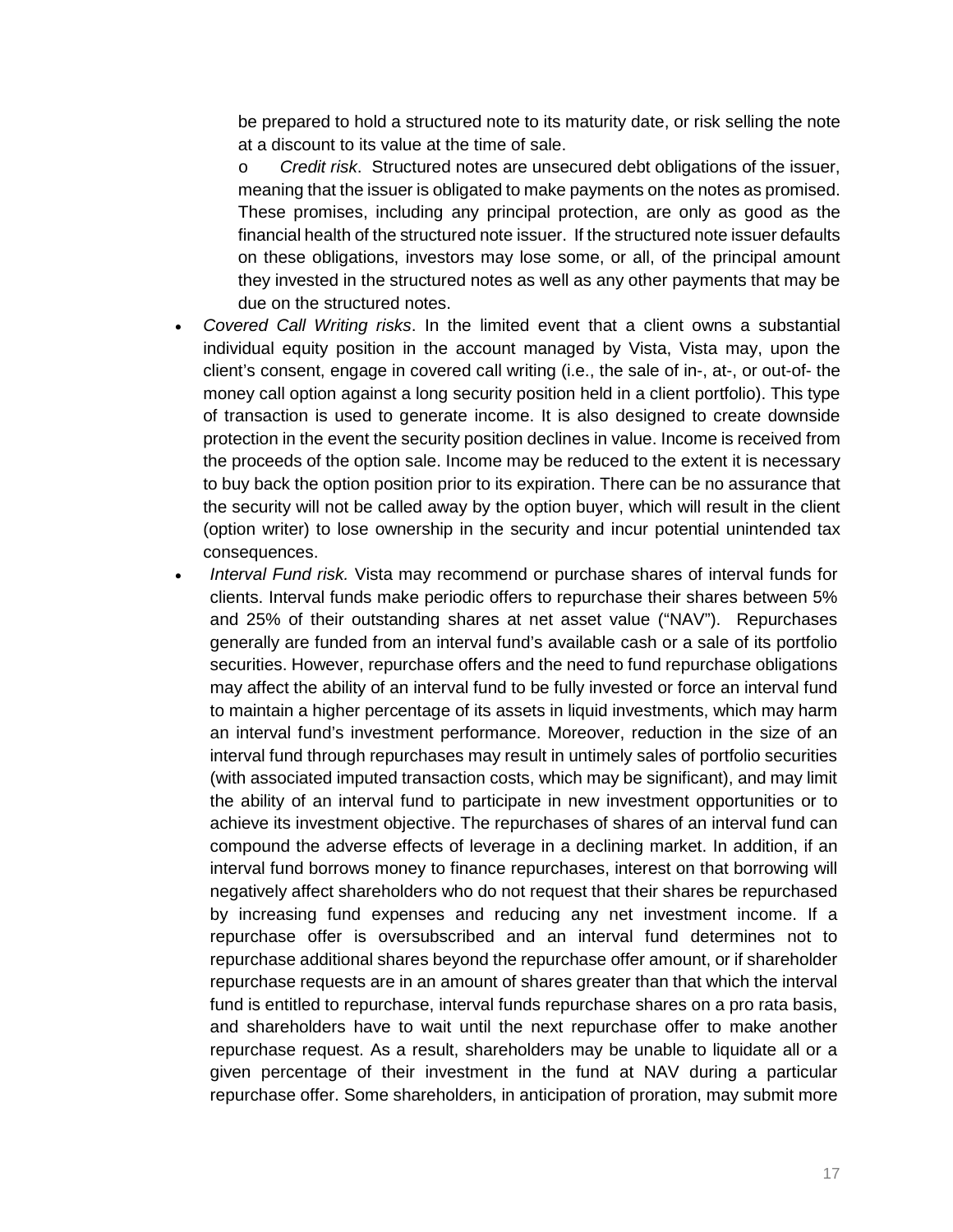be prepared to hold a structured note to its maturity date, or risk selling the note at a discount to its value at the time of sale.

o *Credit risk*. Structured notes are unsecured debt obligations of the issuer, meaning that the issuer is obligated to make payments on the notes as promised. These promises, including any principal protection, are only as good as the financial health of the structured note issuer. If the structured note issuer defaults on these obligations, investors may lose some, or all, of the principal amount they invested in the structured notes as well as any other payments that may be due on the structured notes.

- *Covered Call Writing risks*. In the limited event that a client owns a substantial individual equity position in the account managed by Vista, Vista may, upon the client's consent, engage in covered call writing (i.e., the sale of in-, at-, or out-of- the money call option against a long security position held in a client portfolio). This type of transaction is used to generate income. It is also designed to create downside protection in the event the security position declines in value. Income is received from the proceeds of the option sale. Income may be reduced to the extent it is necessary to buy back the option position prior to its expiration. There can be no assurance that the security will not be called away by the option buyer, which will result in the client (option writer) to lose ownership in the security and incur potential unintended tax consequences.
- *Interval Fund risk.* Vista may recommend or purchase shares of interval funds for clients. Interval funds make periodic offers to repurchase their shares between 5% and 25% of their outstanding shares at net asset value ("NAV"). Repurchases generally are funded from an interval fund's available cash or a sale of its portfolio securities. However, repurchase offers and the need to fund repurchase obligations may affect the ability of an interval fund to be fully invested or force an interval fund to maintain a higher percentage of its assets in liquid investments, which may harm an interval fund's investment performance. Moreover, reduction in the size of an interval fund through repurchases may result in untimely sales of portfolio securities (with associated imputed transaction costs, which may be significant), and may limit the ability of an interval fund to participate in new investment opportunities or to achieve its investment objective. The repurchases of shares of an interval fund can compound the adverse effects of leverage in a declining market. In addition, if an interval fund borrows money to finance repurchases, interest on that borrowing will negatively affect shareholders who do not request that their shares be repurchased by increasing fund expenses and reducing any net investment income. If a repurchase offer is oversubscribed and an interval fund determines not to repurchase additional shares beyond the repurchase offer amount, or if shareholder repurchase requests are in an amount of shares greater than that which the interval fund is entitled to repurchase, interval funds repurchase shares on a pro rata basis, and shareholders have to wait until the next repurchase offer to make another repurchase request. As a result, shareholders may be unable to liquidate all or a given percentage of their investment in the fund at NAV during a particular repurchase offer. Some shareholders, in anticipation of proration, may submit more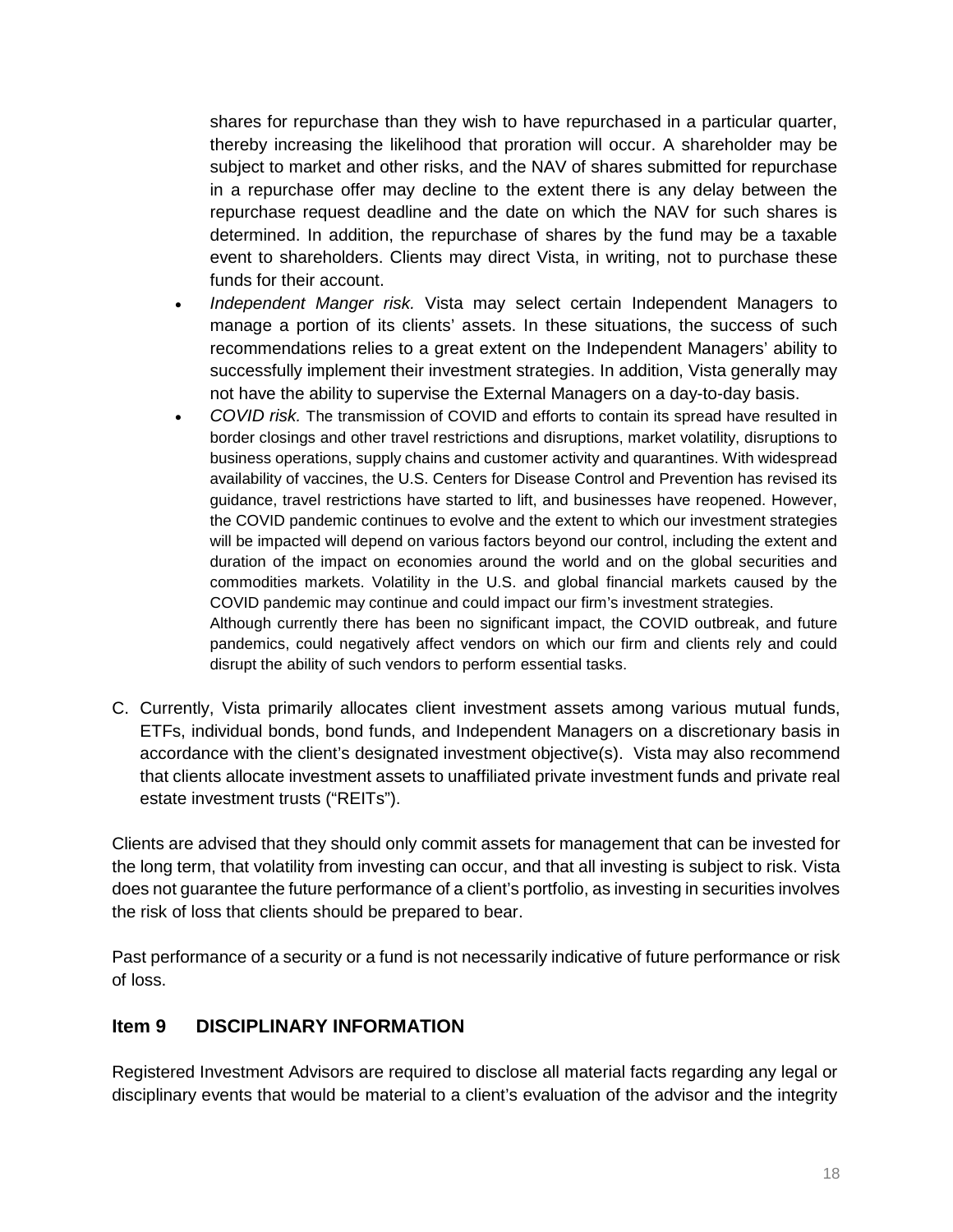shares for repurchase than they wish to have repurchased in a particular quarter, thereby increasing the likelihood that proration will occur. A shareholder may be subject to market and other risks, and the NAV of shares submitted for repurchase in a repurchase offer may decline to the extent there is any delay between the repurchase request deadline and the date on which the NAV for such shares is determined. In addition, the repurchase of shares by the fund may be a taxable event to shareholders. Clients may direct Vista, in writing, not to purchase these funds for their account.

- *Independent Manger risk.* Vista may select certain Independent Managers to manage a portion of its clients' assets. In these situations, the success of such recommendations relies to a great extent on the Independent Managers' ability to successfully implement their investment strategies. In addition, Vista generally may not have the ability to supervise the External Managers on a day-to-day basis.
- *COVID risk.* The transmission of COVID and efforts to contain its spread have resulted in border closings and other travel restrictions and disruptions, market volatility, disruptions to business operations, supply chains and customer activity and quarantines. With widespread availability of vaccines, the U.S. Centers for Disease Control and Prevention has revised its guidance, travel restrictions have started to lift, and businesses have reopened. However, the COVID pandemic continues to evolve and the extent to which our investment strategies will be impacted will depend on various factors beyond our control, including the extent and duration of the impact on economies around the world and on the global securities and commodities markets. Volatility in the U.S. and global financial markets caused by the COVID pandemic may continue and could impact our firm's investment strategies. Although currently there has been no significant impact, the COVID outbreak, and future

pandemics, could negatively affect vendors on which our firm and clients rely and could disrupt the ability of such vendors to perform essential tasks.

C. Currently, Vista primarily allocates client investment assets among various mutual funds, ETFs, individual bonds, bond funds, and Independent Managers on a discretionary basis in accordance with the client's designated investment objective(s). Vista may also recommend that clients allocate investment assets to unaffiliated private investment funds and private real estate investment trusts ("REITs").

Clients are advised that they should only commit assets for management that can be invested for the long term, that volatility from investing can occur, and that all investing is subject to risk. Vista does not guarantee the future performance of a client's portfolio, as investing in securities involves the risk of loss that clients should be prepared to bear.

Past performance of a security or a fund is not necessarily indicative of future performance or risk of loss.

# <span id="page-17-0"></span>**Item 9 DISCIPLINARY INFORMATION**

Registered Investment Advisors are required to disclose all material facts regarding any legal or disciplinary events that would be material to a client's evaluation of the advisor and the integrity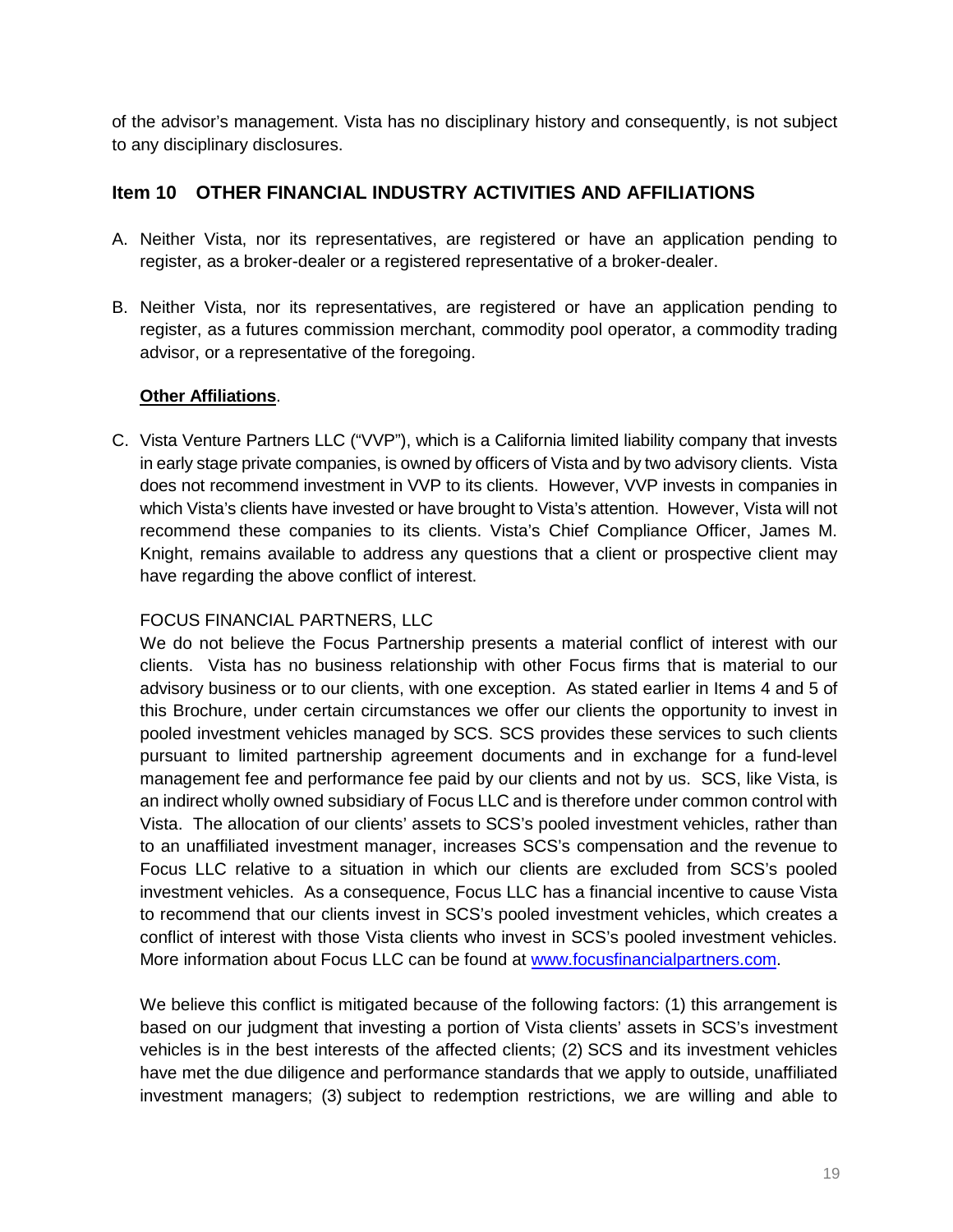of the advisor's management. Vista has no disciplinary history and consequently, is not subject to any disciplinary disclosures.

## <span id="page-18-0"></span>**Item 10 OTHER FINANCIAL INDUSTRY ACTIVITIES AND AFFILIATIONS**

- A. Neither Vista, nor its representatives, are registered or have an application pending to register, as a broker-dealer or a registered representative of a broker-dealer.
- B. Neither Vista, nor its representatives, are registered or have an application pending to register, as a futures commission merchant, commodity pool operator, a commodity trading advisor, or a representative of the foregoing.

#### **Other Affiliations**.

C. Vista Venture Partners LLC ("VVP"), which is a California limited liability company that invests in early stage private companies, is owned by officers of Vista and by two advisory clients. Vista does not recommend investment in VVP to its clients. However, VVP invests in companies in which Vista's clients have invested or have brought to Vista's attention. However, Vista will not recommend these companies to its clients. Vista's Chief Compliance Officer, James M. Knight, remains available to address any questions that a client or prospective client may have regarding the above conflict of interest.

#### FOCUS FINANCIAL PARTNERS, LLC

We do not believe the Focus Partnership presents a material conflict of interest with our clients. Vista has no business relationship with other Focus firms that is material to our advisory business or to our clients, with one exception. As stated earlier in Items 4 and 5 of this Brochure, under certain circumstances we offer our clients the opportunity to invest in pooled investment vehicles managed by SCS. SCS provides these services to such clients pursuant to limited partnership agreement documents and in exchange for a fund-level management fee and performance fee paid by our clients and not by us. SCS, like Vista, is an indirect wholly owned subsidiary of Focus LLC and is therefore under common control with Vista. The allocation of our clients' assets to SCS's pooled investment vehicles, rather than to an unaffiliated investment manager, increases SCS's compensation and the revenue to Focus LLC relative to a situation in which our clients are excluded from SCS's pooled investment vehicles. As a consequence, Focus LLC has a financial incentive to cause Vista to recommend that our clients invest in SCS's pooled investment vehicles, which creates a conflict of interest with those Vista clients who invest in SCS's pooled investment vehicles. More information about Focus LLC can be found at [www.focusfinancialpartners.com.](http://www.focusfinancialpartners.com/)

We believe this conflict is mitigated because of the following factors: (1) this arrangement is based on our judgment that investing a portion of Vista clients' assets in SCS's investment vehicles is in the best interests of the affected clients; (2) SCS and its investment vehicles have met the due diligence and performance standards that we apply to outside, unaffiliated investment managers; (3) subject to redemption restrictions, we are willing and able to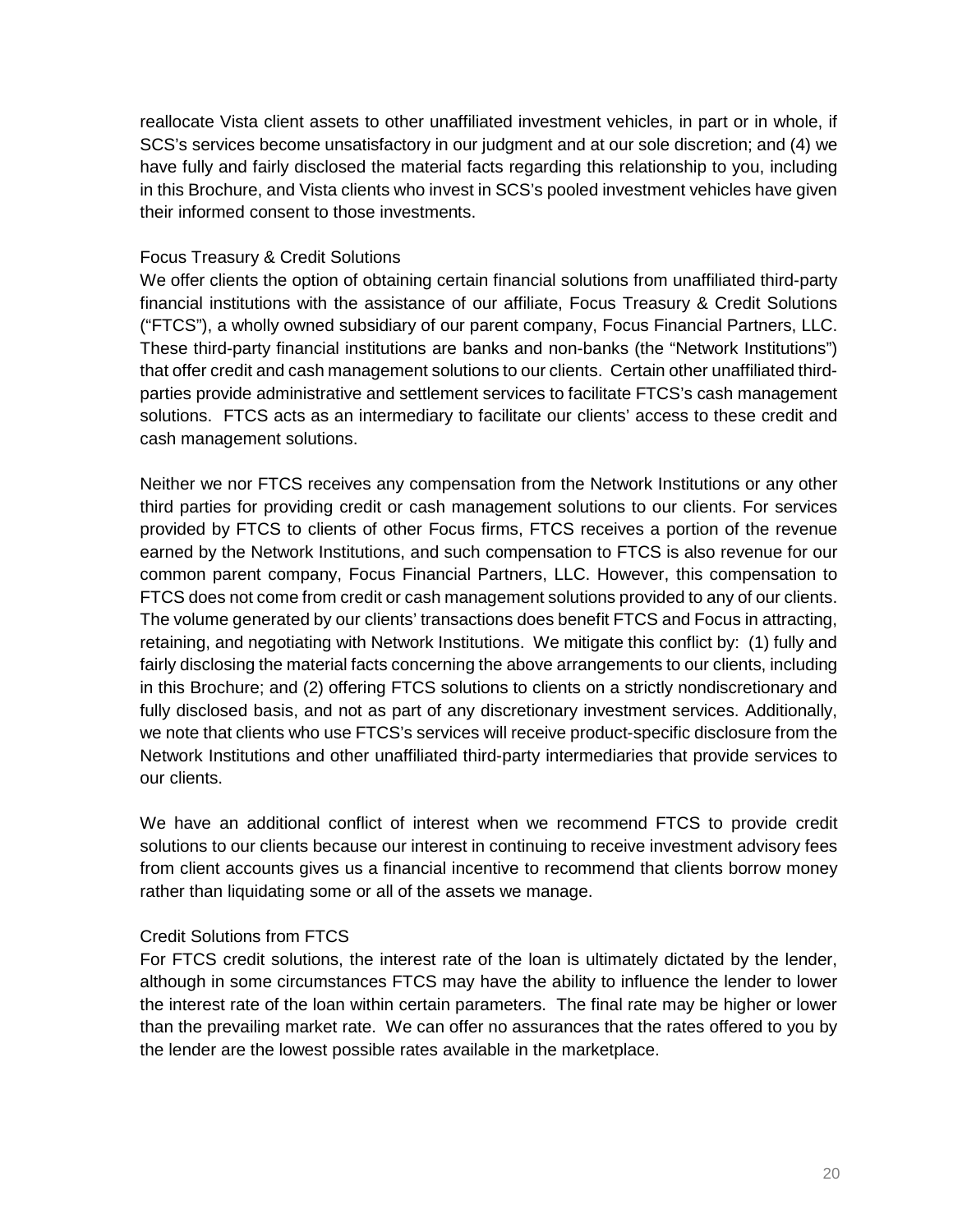reallocate Vista client assets to other unaffiliated investment vehicles, in part or in whole, if SCS's services become unsatisfactory in our judgment and at our sole discretion; and (4) we have fully and fairly disclosed the material facts regarding this relationship to you, including in this Brochure, and Vista clients who invest in SCS's pooled investment vehicles have given their informed consent to those investments.

#### Focus Treasury & Credit Solutions

We offer clients the option of obtaining certain financial solutions from unaffiliated third-party financial institutions with the assistance of our affiliate, Focus Treasury & Credit Solutions ("FTCS"), a wholly owned subsidiary of our parent company, Focus Financial Partners, LLC. These third-party financial institutions are banks and non-banks (the "Network Institutions") that offer credit and cash management solutions to our clients. Certain other unaffiliated thirdparties provide administrative and settlement services to facilitate FTCS's cash management solutions. FTCS acts as an intermediary to facilitate our clients' access to these credit and cash management solutions.

Neither we nor FTCS receives any compensation from the Network Institutions or any other third parties for providing credit or cash management solutions to our clients. For services provided by FTCS to clients of other Focus firms, FTCS receives a portion of the revenue earned by the Network Institutions, and such compensation to FTCS is also revenue for our common parent company, Focus Financial Partners, LLC. However, this compensation to FTCS does not come from credit or cash management solutions provided to any of our clients. The volume generated by our clients' transactions does benefit FTCS and Focus in attracting, retaining, and negotiating with Network Institutions. We mitigate this conflict by: (1) fully and fairly disclosing the material facts concerning the above arrangements to our clients, including in this Brochure; and (2) offering FTCS solutions to clients on a strictly nondiscretionary and fully disclosed basis, and not as part of any discretionary investment services. Additionally, we note that clients who use FTCS's services will receive product-specific disclosure from the Network Institutions and other unaffiliated third-party intermediaries that provide services to our clients.

We have an additional conflict of interest when we recommend FTCS to provide credit solutions to our clients because our interest in continuing to receive investment advisory fees from client accounts gives us a financial incentive to recommend that clients borrow money rather than liquidating some or all of the assets we manage.

#### Credit Solutions from FTCS

For FTCS credit solutions, the interest rate of the loan is ultimately dictated by the lender, although in some circumstances FTCS may have the ability to influence the lender to lower the interest rate of the loan within certain parameters. The final rate may be higher or lower than the prevailing market rate. We can offer no assurances that the rates offered to you by the lender are the lowest possible rates available in the marketplace.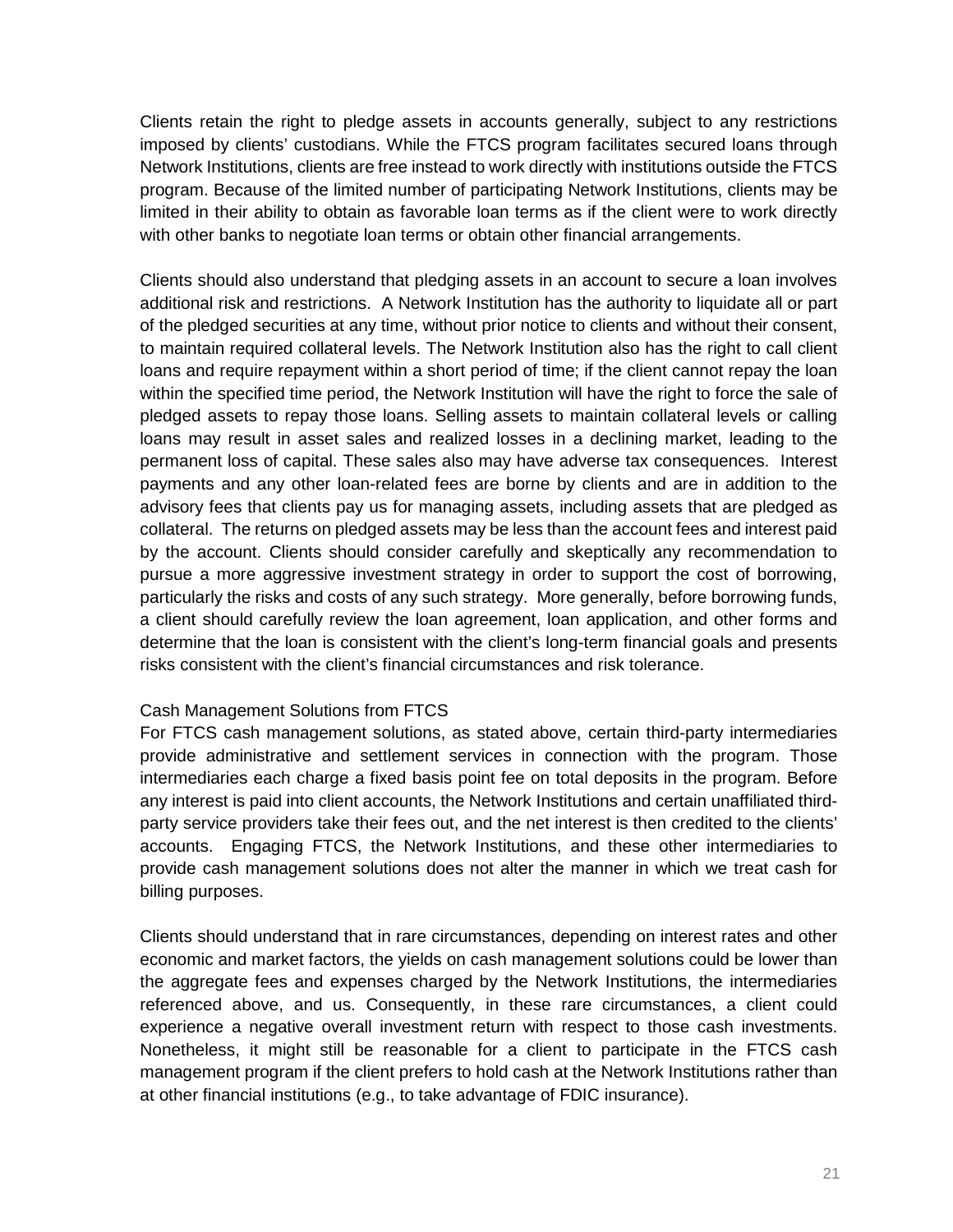Clients retain the right to pledge assets in accounts generally, subject to any restrictions imposed by clients' custodians. While the FTCS program facilitates secured loans through Network Institutions, clients are free instead to work directly with institutions outside the FTCS program. Because of the limited number of participating Network Institutions, clients may be limited in their ability to obtain as favorable loan terms as if the client were to work directly with other banks to negotiate loan terms or obtain other financial arrangements.

Clients should also understand that pledging assets in an account to secure a loan involves additional risk and restrictions. A Network Institution has the authority to liquidate all or part of the pledged securities at any time, without prior notice to clients and without their consent, to maintain required collateral levels. The Network Institution also has the right to call client loans and require repayment within a short period of time; if the client cannot repay the loan within the specified time period, the Network Institution will have the right to force the sale of pledged assets to repay those loans. Selling assets to maintain collateral levels or calling loans may result in asset sales and realized losses in a declining market, leading to the permanent loss of capital. These sales also may have adverse tax consequences. Interest payments and any other loan-related fees are borne by clients and are in addition to the advisory fees that clients pay us for managing assets, including assets that are pledged as collateral. The returns on pledged assets may be less than the account fees and interest paid by the account. Clients should consider carefully and skeptically any recommendation to pursue a more aggressive investment strategy in order to support the cost of borrowing, particularly the risks and costs of any such strategy. More generally, before borrowing funds, a client should carefully review the loan agreement, loan application, and other forms and determine that the loan is consistent with the client's long-term financial goals and presents risks consistent with the client's financial circumstances and risk tolerance.

#### Cash Management Solutions from FTCS

For FTCS cash management solutions, as stated above, certain third-party intermediaries provide administrative and settlement services in connection with the program. Those intermediaries each charge a fixed basis point fee on total deposits in the program. Before any interest is paid into client accounts, the Network Institutions and certain unaffiliated thirdparty service providers take their fees out, and the net interest is then credited to the clients' accounts. Engaging FTCS, the Network Institutions, and these other intermediaries to provide cash management solutions does not alter the manner in which we treat cash for billing purposes.

Clients should understand that in rare circumstances, depending on interest rates and other economic and market factors, the yields on cash management solutions could be lower than the aggregate fees and expenses charged by the Network Institutions, the intermediaries referenced above, and us. Consequently, in these rare circumstances, a client could experience a negative overall investment return with respect to those cash investments. Nonetheless, it might still be reasonable for a client to participate in the FTCS cash management program if the client prefers to hold cash at the Network Institutions rather than at other financial institutions (e.g., to take advantage of FDIC insurance).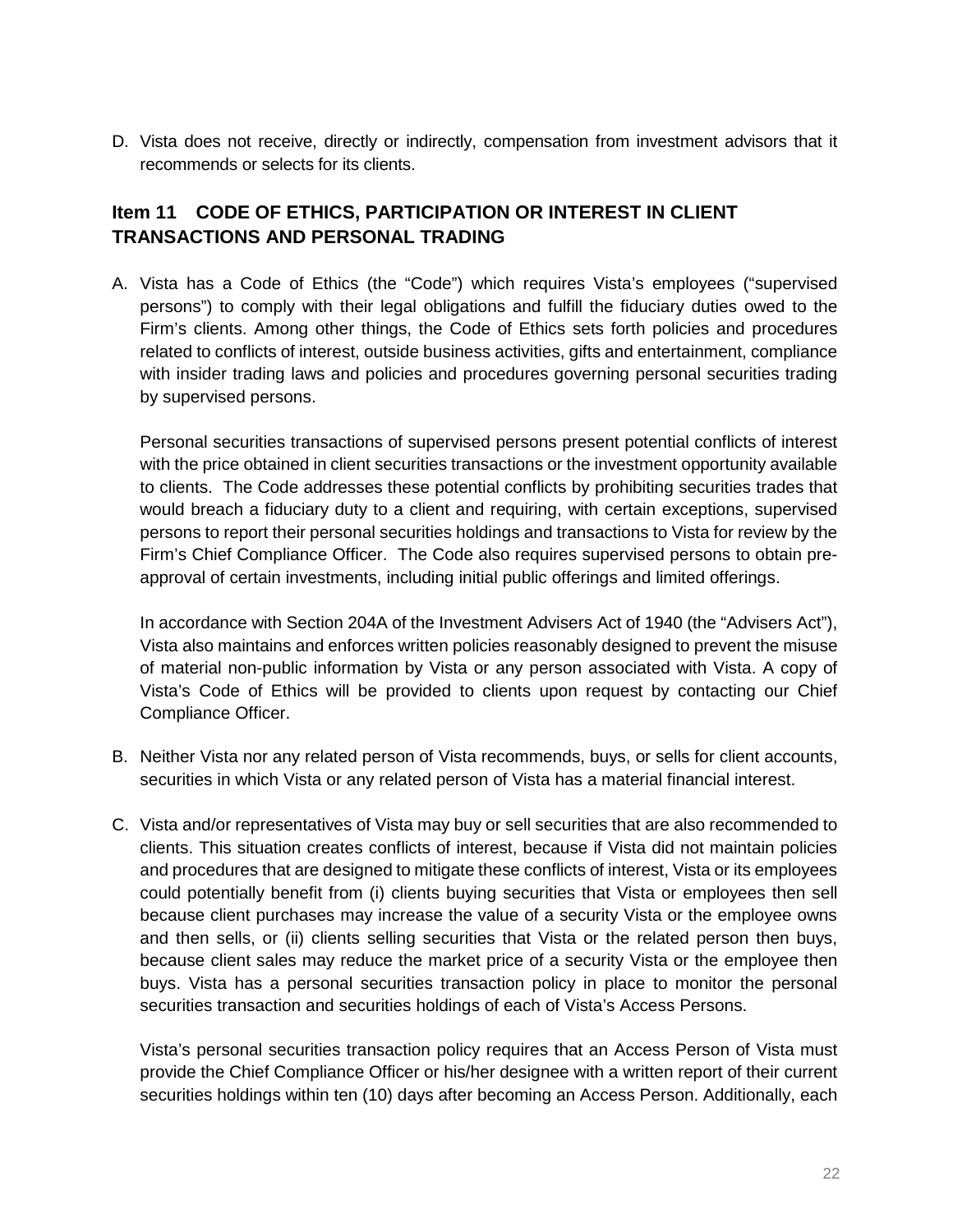D. Vista does not receive, directly or indirectly, compensation from investment advisors that it recommends or selects for its clients.

# <span id="page-21-0"></span>**Item 11 CODE OF ETHICS, PARTICIPATION OR INTEREST IN CLIENT TRANSACTIONS AND PERSONAL TRADING**

A. Vista has a Code of Ethics (the "Code") which requires Vista's employees ("supervised persons") to comply with their legal obligations and fulfill the fiduciary duties owed to the Firm's clients. Among other things, the Code of Ethics sets forth policies and procedures related to conflicts of interest, outside business activities, gifts and entertainment, compliance with insider trading laws and policies and procedures governing personal securities trading by supervised persons.

Personal securities transactions of supervised persons present potential conflicts of interest with the price obtained in client securities transactions or the investment opportunity available to clients. The Code addresses these potential conflicts by prohibiting securities trades that would breach a fiduciary duty to a client and requiring, with certain exceptions, supervised persons to report their personal securities holdings and transactions to Vista for review by the Firm's Chief Compliance Officer. The Code also requires supervised persons to obtain preapproval of certain investments, including initial public offerings and limited offerings.

In accordance with Section 204A of the Investment Advisers Act of 1940 (the "Advisers Act"), Vista also maintains and enforces written policies reasonably designed to prevent the misuse of material non-public information by Vista or any person associated with Vista. A copy of Vista's Code of Ethics will be provided to clients upon request by contacting our Chief Compliance Officer.

- B. Neither Vista nor any related person of Vista recommends, buys, or sells for client accounts, securities in which Vista or any related person of Vista has a material financial interest.
- C. Vista and/or representatives of Vista may buy or sell securities that are also recommended to clients. This situation creates conflicts of interest, because if Vista did not maintain policies and procedures that are designed to mitigate these conflicts of interest, Vista or its employees could potentially benefit from (i) clients buying securities that Vista or employees then sell because client purchases may increase the value of a security Vista or the employee owns and then sells, or (ii) clients selling securities that Vista or the related person then buys, because client sales may reduce the market price of a security Vista or the employee then buys. Vista has a personal securities transaction policy in place to monitor the personal securities transaction and securities holdings of each of Vista's Access Persons.

Vista's personal securities transaction policy requires that an Access Person of Vista must provide the Chief Compliance Officer or his/her designee with a written report of their current securities holdings within ten (10) days after becoming an Access Person. Additionally, each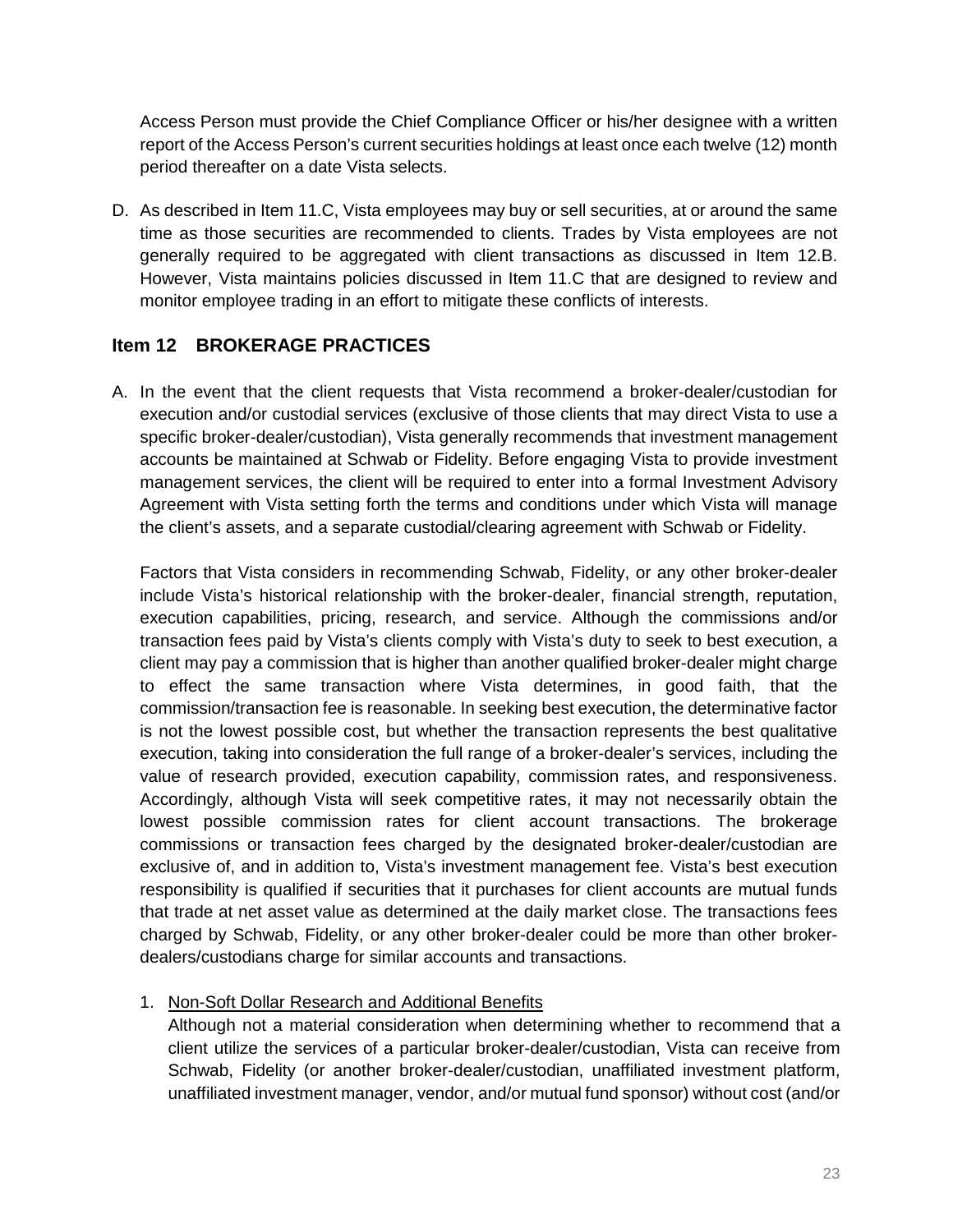Access Person must provide the Chief Compliance Officer or his/her designee with a written report of the Access Person's current securities holdings at least once each twelve (12) month period thereafter on a date Vista selects.

D. As described in Item 11.C, Vista employees may buy or sell securities, at or around the same time as those securities are recommended to clients. Trades by Vista employees are not generally required to be aggregated with client transactions as discussed in Item 12.B. However, Vista maintains policies discussed in Item 11.C that are designed to review and monitor employee trading in an effort to mitigate these conflicts of interests.

## <span id="page-22-0"></span>**Item 12 BROKERAGE PRACTICES**

A. In the event that the client requests that Vista recommend a broker-dealer/custodian for execution and/or custodial services (exclusive of those clients that may direct Vista to use a specific broker-dealer/custodian), Vista generally recommends that investment management accounts be maintained at Schwab or Fidelity. Before engaging Vista to provide investment management services, the client will be required to enter into a formal Investment Advisory Agreement with Vista setting forth the terms and conditions under which Vista will manage the client's assets, and a separate custodial/clearing agreement with Schwab or Fidelity.

Factors that Vista considers in recommending Schwab, Fidelity, or any other broker-dealer include Vista's historical relationship with the broker-dealer, financial strength, reputation, execution capabilities, pricing, research, and service. Although the commissions and/or transaction fees paid by Vista's clients comply with Vista's duty to seek to best execution, a client may pay a commission that is higher than another qualified broker-dealer might charge to effect the same transaction where Vista determines, in good faith, that the commission/transaction fee is reasonable. In seeking best execution, the determinative factor is not the lowest possible cost, but whether the transaction represents the best qualitative execution, taking into consideration the full range of a broker-dealer's services, including the value of research provided, execution capability, commission rates, and responsiveness. Accordingly, although Vista will seek competitive rates, it may not necessarily obtain the lowest possible commission rates for client account transactions. The brokerage commissions or transaction fees charged by the designated broker-dealer/custodian are exclusive of, and in addition to, Vista's investment management fee. Vista's best execution responsibility is qualified if securities that it purchases for client accounts are mutual funds that trade at net asset value as determined at the daily market close. The transactions fees charged by Schwab, Fidelity, or any other broker-dealer could be more than other brokerdealers/custodians charge for similar accounts and transactions.

## 1. Non-Soft Dollar Research and Additional Benefits

Although not a material consideration when determining whether to recommend that a client utilize the services of a particular broker-dealer/custodian, Vista can receive from Schwab, Fidelity (or another broker-dealer/custodian, unaffiliated investment platform, unaffiliated investment manager, vendor, and/or mutual fund sponsor) without cost (and/or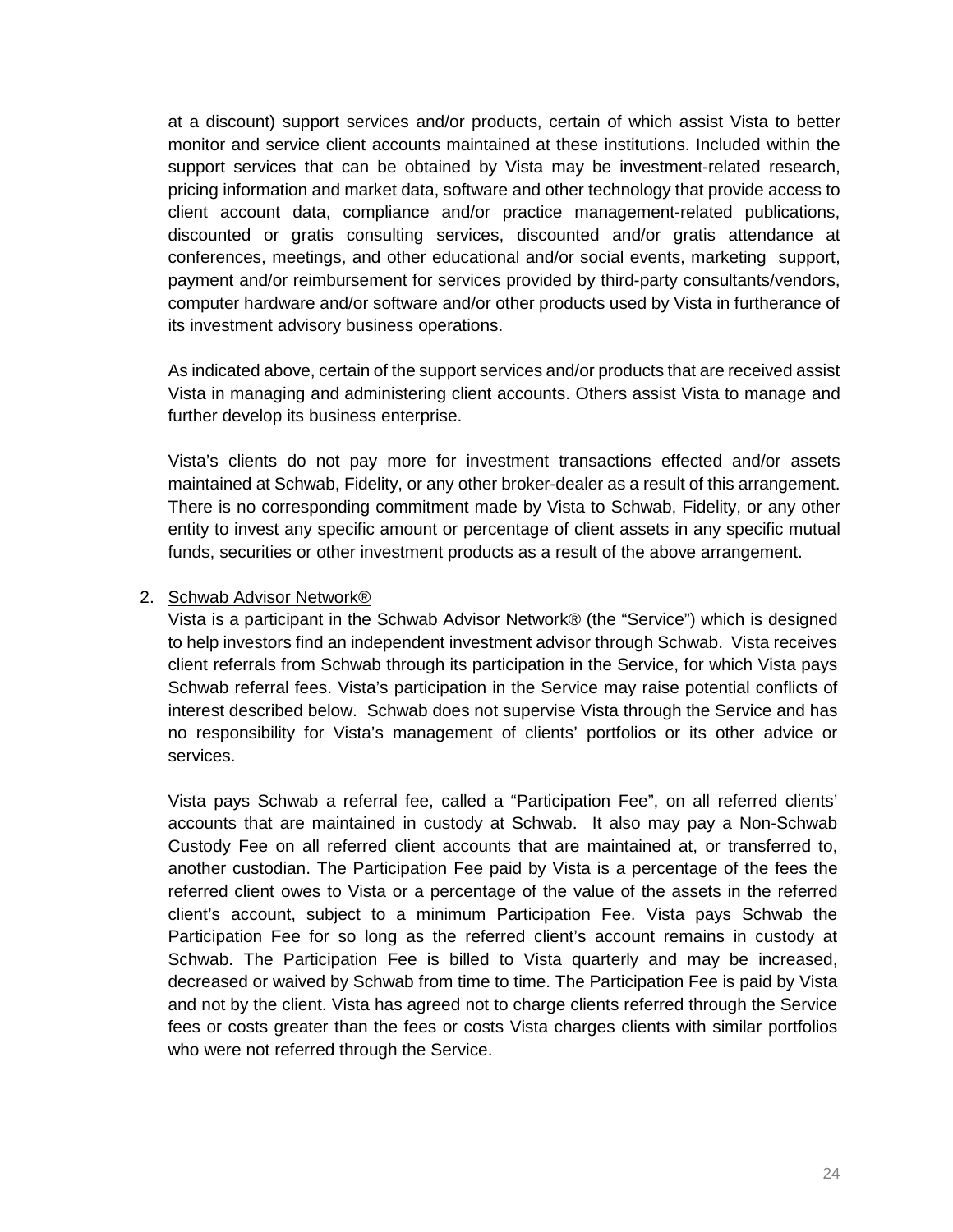at a discount) support services and/or products, certain of which assist Vista to better monitor and service client accounts maintained at these institutions. Included within the support services that can be obtained by Vista may be investment-related research, pricing information and market data, software and other technology that provide access to client account data, compliance and/or practice management-related publications, discounted or gratis consulting services, discounted and/or gratis attendance at conferences, meetings, and other educational and/or social events, marketing support, payment and/or reimbursement for services provided by third-party consultants/vendors, computer hardware and/or software and/or other products used by Vista in furtherance of its investment advisory business operations.

As indicated above, certain of the support services and/or products that are received assist Vista in managing and administering client accounts. Others assist Vista to manage and further develop its business enterprise.

Vista's clients do not pay more for investment transactions effected and/or assets maintained at Schwab, Fidelity, or any other broker-dealer as a result of this arrangement. There is no corresponding commitment made by Vista to Schwab, Fidelity, or any other entity to invest any specific amount or percentage of client assets in any specific mutual funds, securities or other investment products as a result of the above arrangement.

#### 2. Schwab Advisor Network®

Vista is a participant in the Schwab Advisor Network® (the "Service") which is designed to help investors find an independent investment advisor through Schwab. Vista receives client referrals from Schwab through its participation in the Service, for which Vista pays Schwab referral fees. Vista's participation in the Service may raise potential conflicts of interest described below. Schwab does not supervise Vista through the Service and has no responsibility for Vista's management of clients' portfolios or its other advice or services.

Vista pays Schwab a referral fee, called a "Participation Fee", on all referred clients' accounts that are maintained in custody at Schwab. It also may pay a Non-Schwab Custody Fee on all referred client accounts that are maintained at, or transferred to, another custodian. The Participation Fee paid by Vista is a percentage of the fees the referred client owes to Vista or a percentage of the value of the assets in the referred client's account, subject to a minimum Participation Fee. Vista pays Schwab the Participation Fee for so long as the referred client's account remains in custody at Schwab. The Participation Fee is billed to Vista quarterly and may be increased, decreased or waived by Schwab from time to time. The Participation Fee is paid by Vista and not by the client. Vista has agreed not to charge clients referred through the Service fees or costs greater than the fees or costs Vista charges clients with similar portfolios who were not referred through the Service.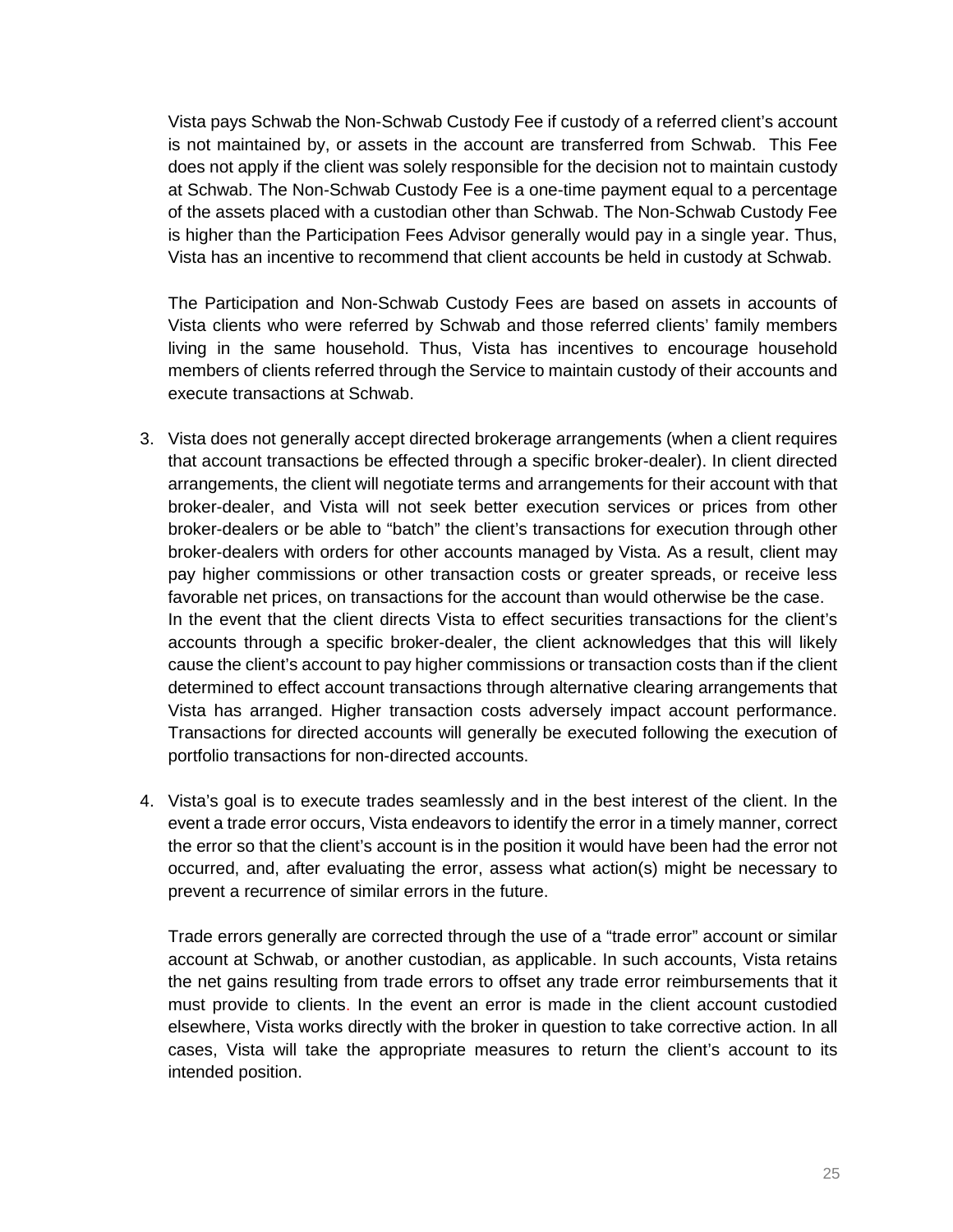Vista pays Schwab the Non-Schwab Custody Fee if custody of a referred client's account is not maintained by, or assets in the account are transferred from Schwab. This Fee does not apply if the client was solely responsible for the decision not to maintain custody at Schwab. The Non-Schwab Custody Fee is a one-time payment equal to a percentage of the assets placed with a custodian other than Schwab. The Non-Schwab Custody Fee is higher than the Participation Fees Advisor generally would pay in a single year. Thus, Vista has an incentive to recommend that client accounts be held in custody at Schwab.

The Participation and Non-Schwab Custody Fees are based on assets in accounts of Vista clients who were referred by Schwab and those referred clients' family members living in the same household. Thus, Vista has incentives to encourage household members of clients referred through the Service to maintain custody of their accounts and execute transactions at Schwab.

- 3. Vista does not generally accept directed brokerage arrangements (when a client requires that account transactions be effected through a specific broker-dealer). In client directed arrangements, the client will negotiate terms and arrangements for their account with that broker-dealer, and Vista will not seek better execution services or prices from other broker-dealers or be able to "batch" the client's transactions for execution through other broker-dealers with orders for other accounts managed by Vista. As a result, client may pay higher commissions or other transaction costs or greater spreads, or receive less favorable net prices, on transactions for the account than would otherwise be the case. In the event that the client directs Vista to effect securities transactions for the client's accounts through a specific broker-dealer, the client acknowledges that this will likely cause the client's account to pay higher commissions or transaction costs than if the client determined to effect account transactions through alternative clearing arrangements that Vista has arranged. Higher transaction costs adversely impact account performance. Transactions for directed accounts will generally be executed following the execution of portfolio transactions for non-directed accounts.
- 4. Vista's goal is to execute trades seamlessly and in the best interest of the client. In the event a trade error occurs, Vista endeavors to identify the error in a timely manner, correct the error so that the client's account is in the position it would have been had the error not occurred, and, after evaluating the error, assess what action(s) might be necessary to prevent a recurrence of similar errors in the future.

Trade errors generally are corrected through the use of a "trade error" account or similar account at Schwab, or another custodian, as applicable. In such accounts, Vista retains the net gains resulting from trade errors to offset any trade error reimbursements that it must provide to clients. In the event an error is made in the client account custodied elsewhere, Vista works directly with the broker in question to take corrective action. In all cases, Vista will take the appropriate measures to return the client's account to its intended position.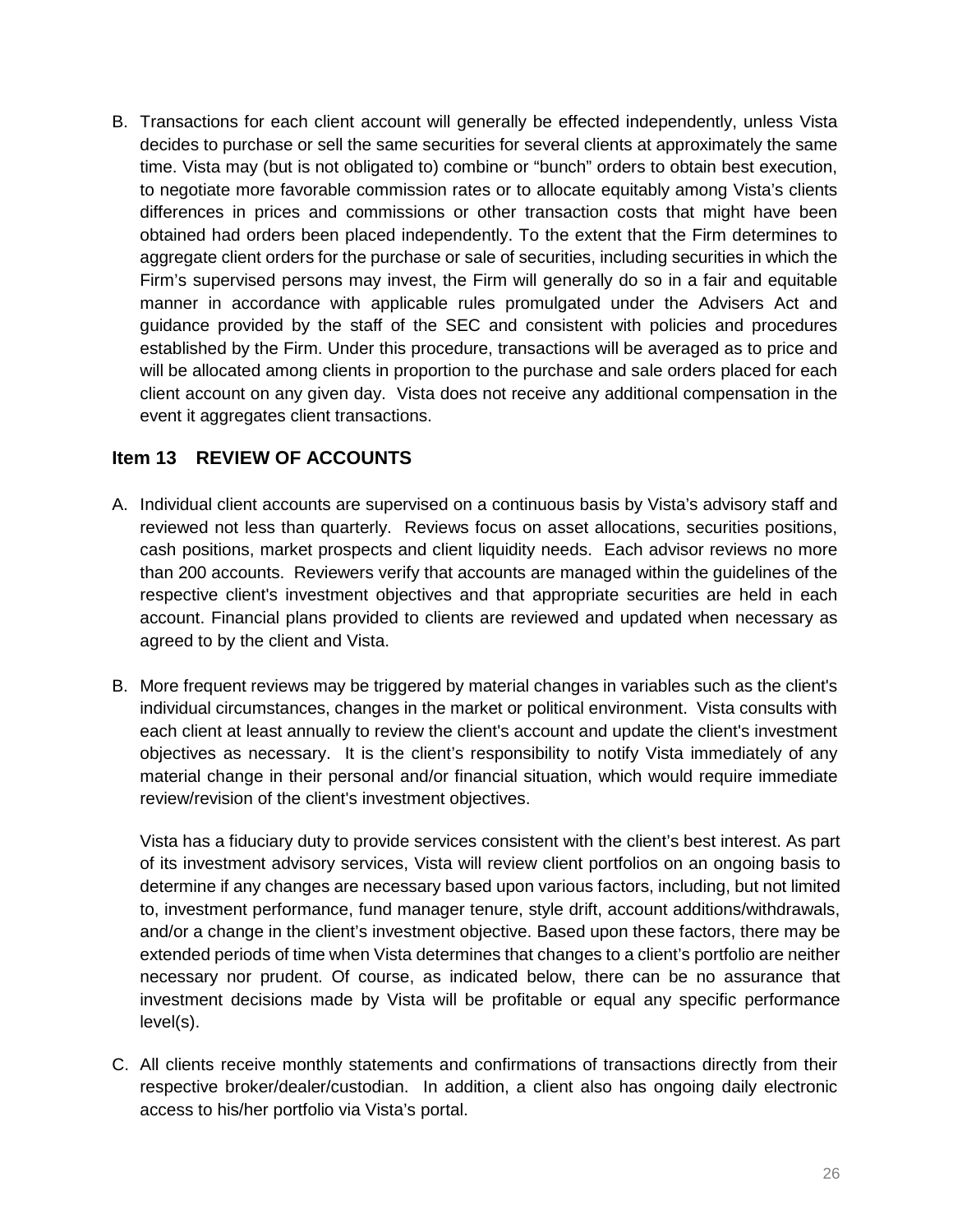B. Transactions for each client account will generally be effected independently, unless Vista decides to purchase or sell the same securities for several clients at approximately the same time. Vista may (but is not obligated to) combine or "bunch" orders to obtain best execution, to negotiate more favorable commission rates or to allocate equitably among Vista's clients differences in prices and commissions or other transaction costs that might have been obtained had orders been placed independently. To the extent that the Firm determines to aggregate client orders for the purchase or sale of securities, including securities in which the Firm's supervised persons may invest, the Firm will generally do so in a fair and equitable manner in accordance with applicable rules promulgated under the Advisers Act and guidance provided by the staff of the SEC and consistent with policies and procedures established by the Firm. Under this procedure, transactions will be averaged as to price and will be allocated among clients in proportion to the purchase and sale orders placed for each client account on any given day. Vista does not receive any additional compensation in the event it aggregates client transactions.

## <span id="page-25-0"></span>**Item 13 REVIEW OF ACCOUNTS**

- A. Individual client accounts are supervised on a continuous basis by Vista's advisory staff and reviewed not less than quarterly. Reviews focus on asset allocations, securities positions, cash positions, market prospects and client liquidity needs. Each advisor reviews no more than 200 accounts. Reviewers verify that accounts are managed within the guidelines of the respective client's investment objectives and that appropriate securities are held in each account. Financial plans provided to clients are reviewed and updated when necessary as agreed to by the client and Vista.
- B. More frequent reviews may be triggered by material changes in variables such as the client's individual circumstances, changes in the market or political environment. Vista consults with each client at least annually to review the client's account and update the client's investment objectives as necessary. It is the client's responsibility to notify Vista immediately of any material change in their personal and/or financial situation, which would require immediate review/revision of the client's investment objectives.

Vista has a fiduciary duty to provide services consistent with the client's best interest. As part of its investment advisory services, Vista will review client portfolios on an ongoing basis to determine if any changes are necessary based upon various factors, including, but not limited to, investment performance, fund manager tenure, style drift, account additions/withdrawals, and/or a change in the client's investment objective. Based upon these factors, there may be extended periods of time when Vista determines that changes to a client's portfolio are neither necessary nor prudent. Of course, as indicated below, there can be no assurance that investment decisions made by Vista will be profitable or equal any specific performance level(s).

C. All clients receive monthly statements and confirmations of transactions directly from their respective broker/dealer/custodian. In addition, a client also has ongoing daily electronic access to his/her portfolio via Vista's portal.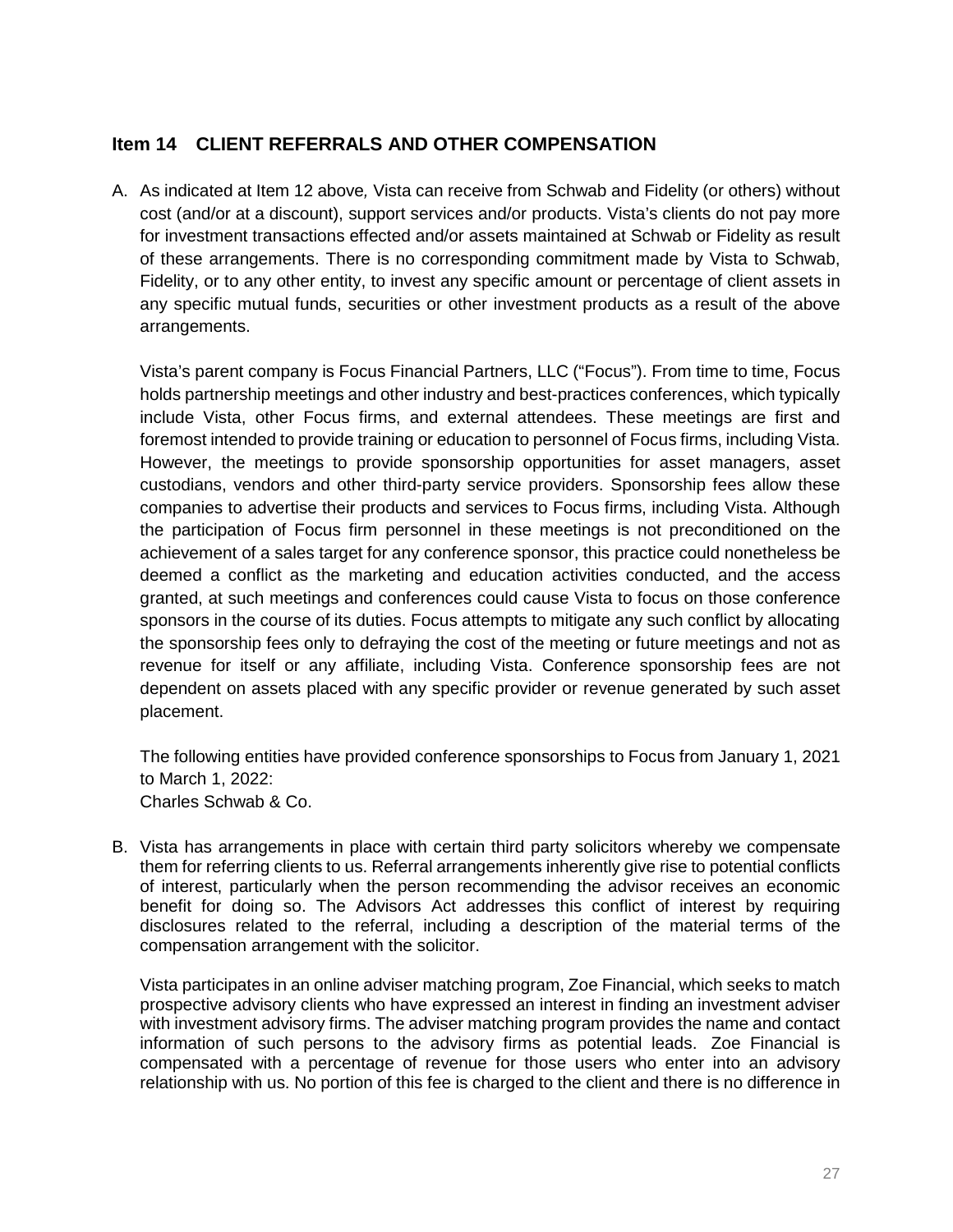## <span id="page-26-0"></span>**Item 14 CLIENT REFERRALS AND OTHER COMPENSATION**

A. As indicated at Item 12 above*,* Vista can receive from Schwab and Fidelity (or others) without cost (and/or at a discount), support services and/or products. Vista's clients do not pay more for investment transactions effected and/or assets maintained at Schwab or Fidelity as result of these arrangements. There is no corresponding commitment made by Vista to Schwab, Fidelity, or to any other entity, to invest any specific amount or percentage of client assets in any specific mutual funds, securities or other investment products as a result of the above arrangements.

Vista's parent company is Focus Financial Partners, LLC ("Focus"). From time to time, Focus holds partnership meetings and other industry and best-practices conferences, which typically include Vista, other Focus firms, and external attendees. These meetings are first and foremost intended to provide training or education to personnel of Focus firms, including Vista. However, the meetings to provide sponsorship opportunities for asset managers, asset custodians, vendors and other third-party service providers. Sponsorship fees allow these companies to advertise their products and services to Focus firms, including Vista. Although the participation of Focus firm personnel in these meetings is not preconditioned on the achievement of a sales target for any conference sponsor, this practice could nonetheless be deemed a conflict as the marketing and education activities conducted, and the access granted, at such meetings and conferences could cause Vista to focus on those conference sponsors in the course of its duties. Focus attempts to mitigate any such conflict by allocating the sponsorship fees only to defraying the cost of the meeting or future meetings and not as revenue for itself or any affiliate, including Vista. Conference sponsorship fees are not dependent on assets placed with any specific provider or revenue generated by such asset placement.

The following entities have provided conference sponsorships to Focus from January 1, 2021 to March 1, 2022: Charles Schwab & Co.

B. Vista has arrangements in place with certain third party solicitors whereby we compensate them for referring clients to us. Referral arrangements inherently give rise to potential conflicts of interest, particularly when the person recommending the advisor receives an economic benefit for doing so. The Advisors Act addresses this conflict of interest by requiring disclosures related to the referral, including a description of the material terms of the compensation arrangement with the solicitor.

Vista participates in an online adviser matching program, Zoe Financial, which seeks to match prospective advisory clients who have expressed an interest in finding an investment adviser with investment advisory firms. The adviser matching program provides the name and contact information of such persons to the advisory firms as potential leads. Zoe Financial is compensated with a percentage of revenue for those users who enter into an advisory relationship with us. No portion of this fee is charged to the client and there is no difference in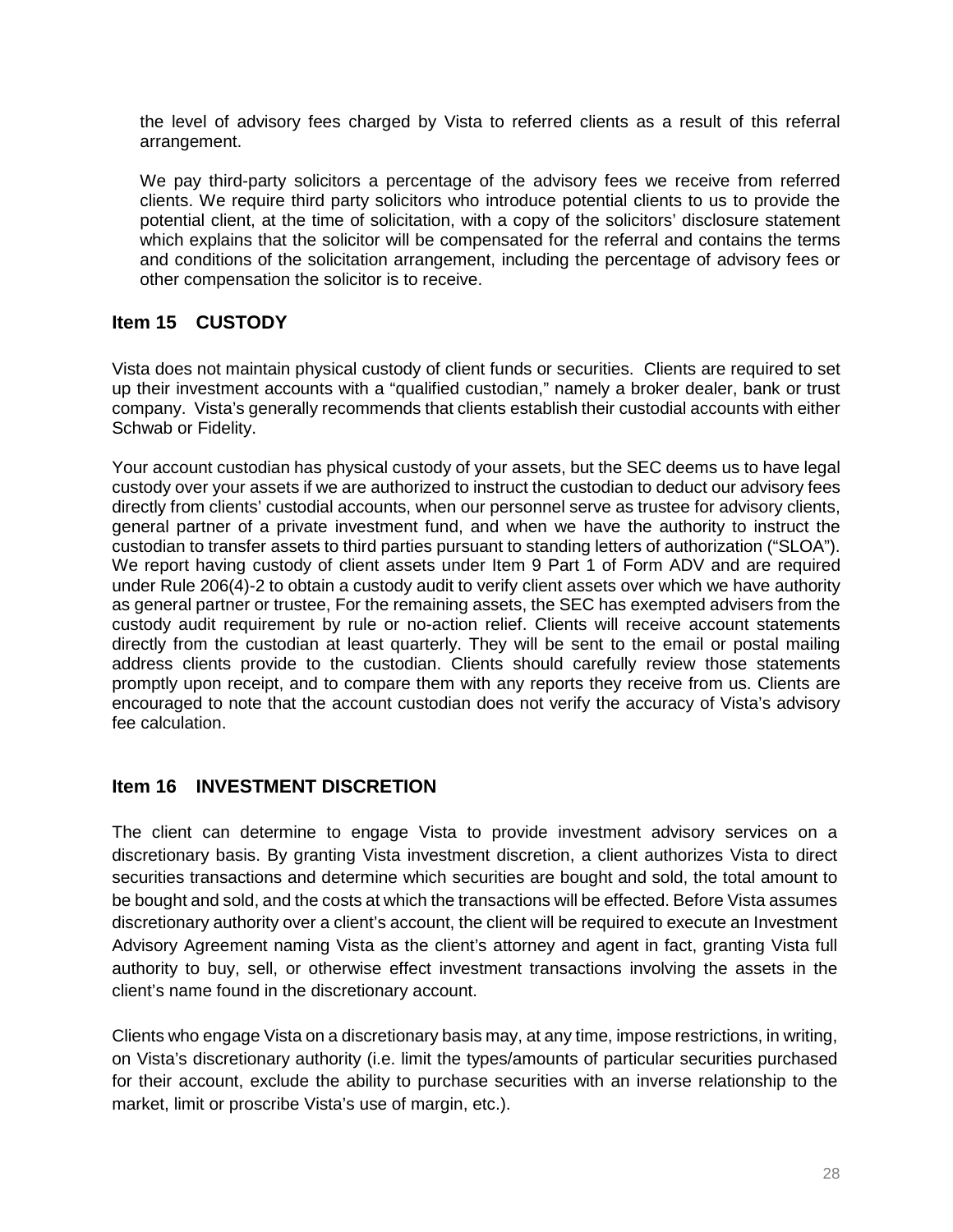the level of advisory fees charged by Vista to referred clients as a result of this referral arrangement.

We pay third-party solicitors a percentage of the advisory fees we receive from referred clients. We require third party solicitors who introduce potential clients to us to provide the potential client, at the time of solicitation, with a copy of the solicitors' disclosure statement which explains that the solicitor will be compensated for the referral and contains the terms and conditions of the solicitation arrangement, including the percentage of advisory fees or other compensation the solicitor is to receive.

# <span id="page-27-0"></span>**Item 15 CUSTODY**

Vista does not maintain physical custody of client funds or securities. Clients are required to set up their investment accounts with a "qualified custodian," namely a broker dealer, bank or trust company. Vista's generally recommends that clients establish their custodial accounts with either Schwab or Fidelity.

Your account custodian has physical custody of your assets, but the SEC deems us to have legal custody over your assets if we are authorized to instruct the custodian to deduct our advisory fees directly from clients' custodial accounts, when our personnel serve as trustee for advisory clients, general partner of a private investment fund, and when we have the authority to instruct the custodian to transfer assets to third parties pursuant to standing letters of authorization ("SLOA"). We report having custody of client assets under Item 9 Part 1 of Form ADV and are required under Rule 206(4)-2 to obtain a custody audit to verify client assets over which we have authority as general partner or trustee, For the remaining assets, the SEC has exempted advisers from the custody audit requirement by rule or no-action relief. Clients will receive account statements directly from the custodian at least quarterly. They will be sent to the email or postal mailing address clients provide to the custodian. Clients should carefully review those statements promptly upon receipt, and to compare them with any reports they receive from us. Clients are encouraged to note that the account custodian does not verify the accuracy of Vista's advisory fee calculation.

## <span id="page-27-1"></span>**Item 16 INVESTMENT DISCRETION**

The client can determine to engage Vista to provide investment advisory services on a discretionary basis. By granting Vista investment discretion, a client authorizes Vista to direct securities transactions and determine which securities are bought and sold, the total amount to be bought and sold, and the costs at which the transactions will be effected. Before Vista assumes discretionary authority over a client's account, the client will be required to execute an Investment Advisory Agreement naming Vista as the client's attorney and agent in fact, granting Vista full authority to buy, sell, or otherwise effect investment transactions involving the assets in the client's name found in the discretionary account.

Clients who engage Vista on a discretionary basis may, at any time, impose restrictions, in writing, on Vista's discretionary authority (i.e. limit the types/amounts of particular securities purchased for their account, exclude the ability to purchase securities with an inverse relationship to the market, limit or proscribe Vista's use of margin, etc.).